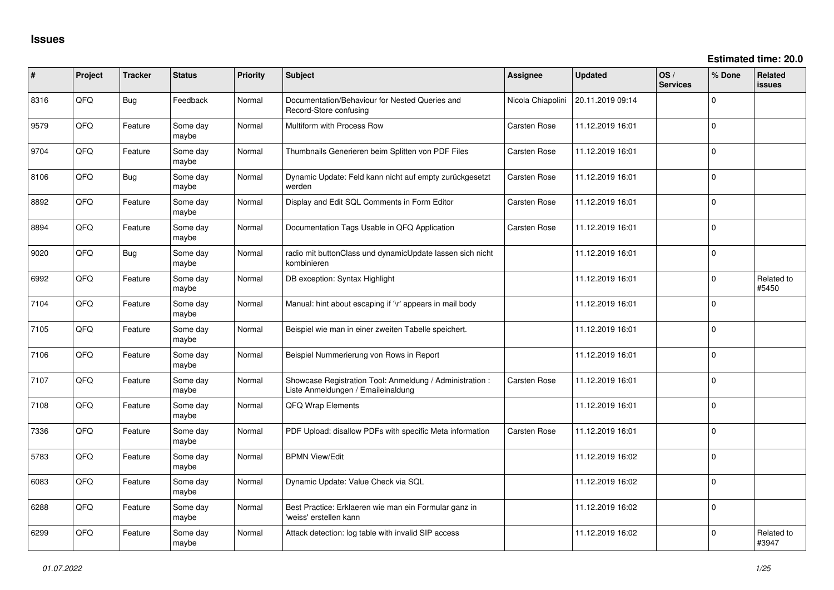| ∦    | Project | <b>Tracker</b> | <b>Status</b>     | <b>Priority</b> | Subject                                                                                        | Assignee            | <b>Updated</b>   | OS/<br><b>Services</b> | % Done      | <b>Related</b><br><b>issues</b> |
|------|---------|----------------|-------------------|-----------------|------------------------------------------------------------------------------------------------|---------------------|------------------|------------------------|-------------|---------------------------------|
| 8316 | QFQ     | <b>Bug</b>     | Feedback          | Normal          | Documentation/Behaviour for Nested Queries and<br>Record-Store confusing                       | Nicola Chiapolini   | 20.11.2019 09:14 |                        | 0           |                                 |
| 9579 | QFQ     | Feature        | Some day<br>maybe | Normal          | Multiform with Process Row                                                                     | Carsten Rose        | 11.12.2019 16:01 |                        | 0           |                                 |
| 9704 | QFQ     | Feature        | Some day<br>maybe | Normal          | Thumbnails Generieren beim Splitten von PDF Files                                              | Carsten Rose        | 11.12.2019 16:01 |                        | 0           |                                 |
| 8106 | QFQ     | <b>Bug</b>     | Some day<br>maybe | Normal          | Dynamic Update: Feld kann nicht auf empty zurückgesetzt<br>werden                              | <b>Carsten Rose</b> | 11.12.2019 16:01 |                        | 0           |                                 |
| 8892 | QFQ     | Feature        | Some day<br>maybe | Normal          | Display and Edit SQL Comments in Form Editor                                                   | <b>Carsten Rose</b> | 11.12.2019 16:01 |                        | 0           |                                 |
| 8894 | QFQ     | Feature        | Some day<br>maybe | Normal          | Documentation Tags Usable in QFQ Application                                                   | Carsten Rose        | 11.12.2019 16:01 |                        | 0           |                                 |
| 9020 | QFQ     | <b>Bug</b>     | Some day<br>maybe | Normal          | radio mit buttonClass und dynamicUpdate lassen sich nicht<br>kombinieren                       |                     | 11.12.2019 16:01 |                        | 0           |                                 |
| 6992 | QFQ     | Feature        | Some day<br>maybe | Normal          | DB exception: Syntax Highlight                                                                 |                     | 11.12.2019 16:01 |                        | 0           | Related to<br>#5450             |
| 7104 | QFQ     | Feature        | Some day<br>maybe | Normal          | Manual: hint about escaping if '\r' appears in mail body                                       |                     | 11.12.2019 16:01 |                        | $\Omega$    |                                 |
| 7105 | QFQ     | Feature        | Some day<br>maybe | Normal          | Beispiel wie man in einer zweiten Tabelle speichert.                                           |                     | 11.12.2019 16:01 |                        | $\mathbf 0$ |                                 |
| 7106 | QFQ     | Feature        | Some day<br>maybe | Normal          | Beispiel Nummerierung von Rows in Report                                                       |                     | 11.12.2019 16:01 |                        | $\mathbf 0$ |                                 |
| 7107 | QFQ     | Feature        | Some day<br>maybe | Normal          | Showcase Registration Tool: Anmeldung / Administration :<br>Liste Anmeldungen / Emaileinaldung | <b>Carsten Rose</b> | 11.12.2019 16:01 |                        | $\mathbf 0$ |                                 |
| 7108 | QFQ     | Feature        | Some day<br>maybe | Normal          | QFQ Wrap Elements                                                                              |                     | 11.12.2019 16:01 |                        | $\mathbf 0$ |                                 |
| 7336 | QFQ     | Feature        | Some day<br>maybe | Normal          | PDF Upload: disallow PDFs with specific Meta information                                       | <b>Carsten Rose</b> | 11.12.2019 16:01 |                        | 0           |                                 |
| 5783 | QFQ     | Feature        | Some day<br>maybe | Normal          | <b>BPMN View/Edit</b>                                                                          |                     | 11.12.2019 16:02 |                        | 0           |                                 |
| 6083 | QFQ     | Feature        | Some day<br>maybe | Normal          | Dynamic Update: Value Check via SQL                                                            |                     | 11.12.2019 16:02 |                        | 0           |                                 |
| 6288 | QFQ     | Feature        | Some day<br>maybe | Normal          | Best Practice: Erklaeren wie man ein Formular ganz in<br>'weiss' erstellen kann                |                     | 11.12.2019 16:02 |                        | 0           |                                 |
| 6299 | QFQ     | Feature        | Some day<br>maybe | Normal          | Attack detection: log table with invalid SIP access                                            |                     | 11.12.2019 16:02 |                        | 0           | Related to<br>#3947             |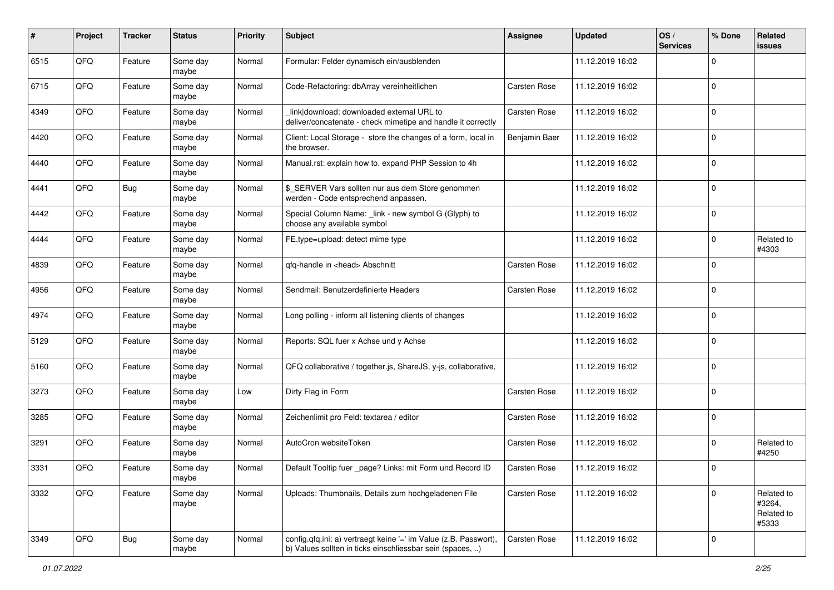| #    | Project | <b>Tracker</b> | <b>Status</b>     | <b>Priority</b> | Subject                                                                                                                       | <b>Assignee</b>     | <b>Updated</b>   | OS/<br><b>Services</b> | % Done      | Related<br>issues                           |
|------|---------|----------------|-------------------|-----------------|-------------------------------------------------------------------------------------------------------------------------------|---------------------|------------------|------------------------|-------------|---------------------------------------------|
| 6515 | QFQ     | Feature        | Some day<br>maybe | Normal          | Formular: Felder dynamisch ein/ausblenden                                                                                     |                     | 11.12.2019 16:02 |                        | 0           |                                             |
| 6715 | QFQ     | Feature        | Some day<br>maybe | Normal          | Code-Refactoring: dbArray vereinheitlichen                                                                                    | <b>Carsten Rose</b> | 11.12.2019 16:02 |                        | $\mathbf 0$ |                                             |
| 4349 | QFQ     | Feature        | Some day<br>maybe | Normal          | link download: downloaded external URL to<br>deliver/concatenate - check mimetipe and handle it correctly                     | <b>Carsten Rose</b> | 11.12.2019 16:02 |                        | 0           |                                             |
| 4420 | QFQ     | Feature        | Some day<br>maybe | Normal          | Client: Local Storage - store the changes of a form, local in<br>the browser.                                                 | Benjamin Baer       | 11.12.2019 16:02 |                        | $\mathbf 0$ |                                             |
| 4440 | QFQ     | Feature        | Some day<br>maybe | Normal          | Manual.rst: explain how to. expand PHP Session to 4h                                                                          |                     | 11.12.2019 16:02 |                        | $\mathbf 0$ |                                             |
| 4441 | QFQ     | <b>Bug</b>     | Some day<br>maybe | Normal          | \$_SERVER Vars sollten nur aus dem Store genommen<br>werden - Code entsprechend anpassen.                                     |                     | 11.12.2019 16:02 |                        | $\mathbf 0$ |                                             |
| 4442 | QFQ     | Feature        | Some day<br>maybe | Normal          | Special Column Name: _link - new symbol G (Glyph) to<br>choose any available symbol                                           |                     | 11.12.2019 16:02 |                        | $\mathbf 0$ |                                             |
| 4444 | QFQ     | Feature        | Some day<br>maybe | Normal          | FE.type=upload: detect mime type                                                                                              |                     | 11.12.2019 16:02 |                        | $\mathbf 0$ | Related to<br>#4303                         |
| 4839 | QFQ     | Feature        | Some day<br>maybe | Normal          | qfq-handle in <head> Abschnitt</head>                                                                                         | <b>Carsten Rose</b> | 11.12.2019 16:02 |                        | $\mathbf 0$ |                                             |
| 4956 | QFQ     | Feature        | Some day<br>maybe | Normal          | Sendmail: Benutzerdefinierte Headers                                                                                          | <b>Carsten Rose</b> | 11.12.2019 16:02 |                        | $\mathbf 0$ |                                             |
| 4974 | QFQ     | Feature        | Some day<br>maybe | Normal          | Long polling - inform all listening clients of changes                                                                        |                     | 11.12.2019 16:02 |                        | $\mathbf 0$ |                                             |
| 5129 | QFQ     | Feature        | Some day<br>maybe | Normal          | Reports: SQL fuer x Achse und y Achse                                                                                         |                     | 11.12.2019 16:02 |                        | $\mathbf 0$ |                                             |
| 5160 | QFQ     | Feature        | Some day<br>maybe | Normal          | QFQ collaborative / together.js, ShareJS, y-js, collaborative,                                                                |                     | 11.12.2019 16:02 |                        | $\mathbf 0$ |                                             |
| 3273 | QFQ     | Feature        | Some day<br>maybe | Low             | Dirty Flag in Form                                                                                                            | <b>Carsten Rose</b> | 11.12.2019 16:02 |                        | $\mathbf 0$ |                                             |
| 3285 | QFQ     | Feature        | Some day<br>maybe | Normal          | Zeichenlimit pro Feld: textarea / editor                                                                                      | <b>Carsten Rose</b> | 11.12.2019 16:02 |                        | $\mathbf 0$ |                                             |
| 3291 | QFQ     | Feature        | Some day<br>maybe | Normal          | AutoCron websiteToken                                                                                                         | <b>Carsten Rose</b> | 11.12.2019 16:02 |                        | $\mathbf 0$ | Related to<br>#4250                         |
| 3331 | QFQ     | Feature        | Some day<br>maybe | Normal          | Default Tooltip fuer _page? Links: mit Form und Record ID                                                                     | Carsten Rose        | 11.12.2019 16:02 |                        | $\Omega$    |                                             |
| 3332 | QFQ     | Feature        | Some day<br>maybe | Normal          | Uploads: Thumbnails, Details zum hochgeladenen File                                                                           | Carsten Rose        | 11.12.2019 16:02 |                        | $\mathbf 0$ | Related to<br>#3264,<br>Related to<br>#5333 |
| 3349 | QFQ     | Bug            | Some day<br>maybe | Normal          | config.qfq.ini: a) vertraegt keine '=' im Value (z.B. Passwort),<br>b) Values sollten in ticks einschliessbar sein (spaces, ) | Carsten Rose        | 11.12.2019 16:02 |                        | $\mathbf 0$ |                                             |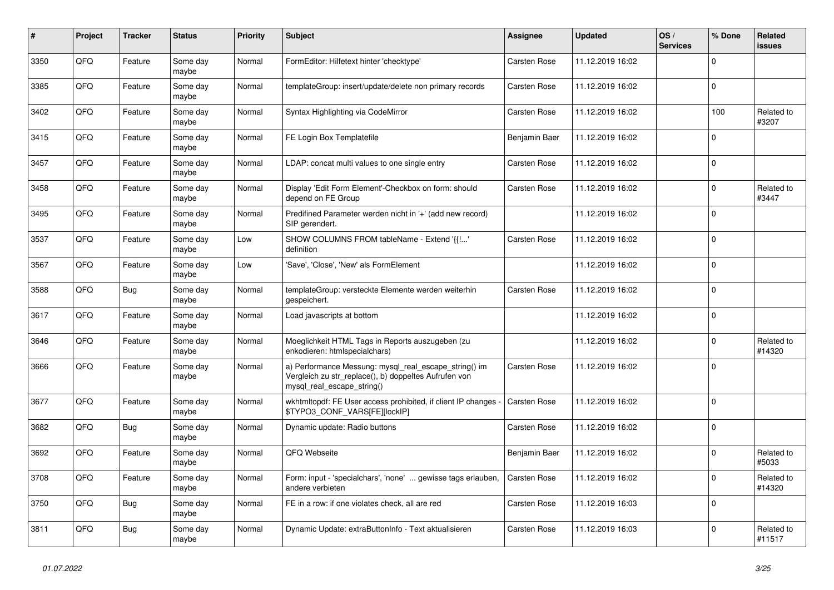| $\vert$ # | Project | <b>Tracker</b> | <b>Status</b>     | <b>Priority</b> | <b>Subject</b>                                                                                                                               | Assignee            | <b>Updated</b>   | OS/<br><b>Services</b> | % Done         | Related<br>issues    |
|-----------|---------|----------------|-------------------|-----------------|----------------------------------------------------------------------------------------------------------------------------------------------|---------------------|------------------|------------------------|----------------|----------------------|
| 3350      | QFQ     | Feature        | Some day<br>maybe | Normal          | FormEditor: Hilfetext hinter 'checktype'                                                                                                     | Carsten Rose        | 11.12.2019 16:02 |                        | $\Omega$       |                      |
| 3385      | QFQ     | Feature        | Some day<br>maybe | Normal          | templateGroup: insert/update/delete non primary records                                                                                      | Carsten Rose        | 11.12.2019 16:02 |                        | $\Omega$       |                      |
| 3402      | QFQ     | Feature        | Some day<br>maybe | Normal          | Syntax Highlighting via CodeMirror                                                                                                           | Carsten Rose        | 11.12.2019 16:02 |                        | 100            | Related to<br>#3207  |
| 3415      | QFQ     | Feature        | Some day<br>maybe | Normal          | FE Login Box Templatefile                                                                                                                    | Benjamin Baer       | 11.12.2019 16:02 |                        | $\Omega$       |                      |
| 3457      | QFQ     | Feature        | Some day<br>maybe | Normal          | LDAP: concat multi values to one single entry                                                                                                | Carsten Rose        | 11.12.2019 16:02 |                        | $\Omega$       |                      |
| 3458      | QFQ     | Feature        | Some day<br>maybe | Normal          | Display 'Edit Form Element'-Checkbox on form: should<br>depend on FE Group                                                                   | Carsten Rose        | 11.12.2019 16:02 |                        | $\Omega$       | Related to<br>#3447  |
| 3495      | QFQ     | Feature        | Some day<br>maybe | Normal          | Predifined Parameter werden nicht in '+' (add new record)<br>SIP gerendert.                                                                  |                     | 11.12.2019 16:02 |                        | $\Omega$       |                      |
| 3537      | QFQ     | Feature        | Some day<br>maybe | Low             | SHOW COLUMNS FROM tableName - Extend '{{!'<br>definition                                                                                     | Carsten Rose        | 11.12.2019 16:02 |                        | $\mathbf 0$    |                      |
| 3567      | QFQ     | Feature        | Some day<br>maybe | Low             | 'Save', 'Close', 'New' als FormElement                                                                                                       |                     | 11.12.2019 16:02 |                        | $\Omega$       |                      |
| 3588      | QFQ     | <b>Bug</b>     | Some day<br>maybe | Normal          | templateGroup: versteckte Elemente werden weiterhin<br>gespeichert.                                                                          | Carsten Rose        | 11.12.2019 16:02 |                        | $\Omega$       |                      |
| 3617      | QFQ     | Feature        | Some day<br>maybe | Normal          | Load javascripts at bottom                                                                                                                   |                     | 11.12.2019 16:02 |                        | $\mathbf 0$    |                      |
| 3646      | QFQ     | Feature        | Some day<br>maybe | Normal          | Moeglichkeit HTML Tags in Reports auszugeben (zu<br>enkodieren: htmlspecialchars)                                                            |                     | 11.12.2019 16:02 |                        | $\Omega$       | Related to<br>#14320 |
| 3666      | QFQ     | Feature        | Some day<br>maybe | Normal          | a) Performance Messung: mysql_real_escape_string() im<br>Vergleich zu str replace(), b) doppeltes Aufrufen von<br>mysql_real_escape_string() | Carsten Rose        | 11.12.2019 16:02 |                        | $\Omega$       |                      |
| 3677      | QFQ     | Feature        | Some day<br>maybe | Normal          | wkhtmltopdf: FE User access prohibited, if client IP changes -<br>\$TYPO3_CONF_VARS[FE][lockIP]                                              | Carsten Rose        | 11.12.2019 16:02 |                        | 0              |                      |
| 3682      | QFQ     | <b>Bug</b>     | Some day<br>maybe | Normal          | Dynamic update: Radio buttons                                                                                                                | Carsten Rose        | 11.12.2019 16:02 |                        | $\overline{0}$ |                      |
| 3692      | QFQ     | Feature        | Some day<br>maybe | Normal          | QFQ Webseite                                                                                                                                 | Benjamin Baer       | 11.12.2019 16:02 |                        | $\Omega$       | Related to<br>#5033  |
| 3708      | QFQ     | Feature        | Some day<br>maybe | Normal          | Form: input - 'specialchars', 'none'  gewisse tags erlauben,<br>andere verbieten                                                             | Carsten Rose        | 11.12.2019 16:02 |                        | $\Omega$       | Related to<br>#14320 |
| 3750      | QFQ     | <b>Bug</b>     | Some day<br>maybe | Normal          | FE in a row: if one violates check, all are red                                                                                              | Carsten Rose        | 11.12.2019 16:03 |                        | $\Omega$       |                      |
| 3811      | QFQ     | <b>Bug</b>     | Some day<br>maybe | Normal          | Dynamic Update: extraButtonInfo - Text aktualisieren                                                                                         | <b>Carsten Rose</b> | 11.12.2019 16:03 |                        | $\Omega$       | Related to<br>#11517 |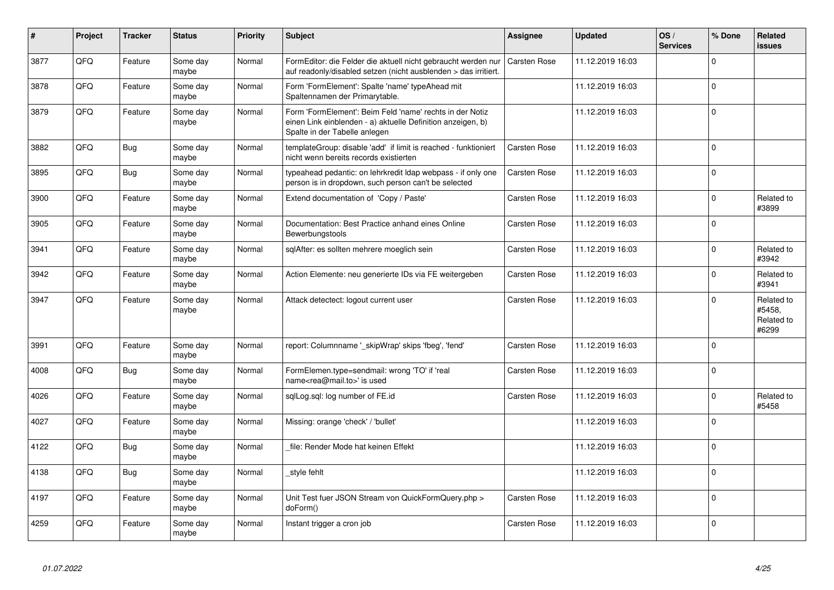| $\vert$ # | Project | <b>Tracker</b> | <b>Status</b>     | <b>Priority</b> | <b>Subject</b>                                                                                                                                           | Assignee            | <b>Updated</b>   | OS/<br><b>Services</b> | % Done         | Related<br>issues                           |
|-----------|---------|----------------|-------------------|-----------------|----------------------------------------------------------------------------------------------------------------------------------------------------------|---------------------|------------------|------------------------|----------------|---------------------------------------------|
| 3877      | QFQ     | Feature        | Some day<br>maybe | Normal          | FormEditor: die Felder die aktuell nicht gebraucht werden nur<br>auf readonly/disabled setzen (nicht ausblenden > das irritiert.                         | <b>Carsten Rose</b> | 11.12.2019 16:03 |                        | $\Omega$       |                                             |
| 3878      | QFQ     | Feature        | Some day<br>maybe | Normal          | Form 'FormElement': Spalte 'name' typeAhead mit<br>Spaltennamen der Primarytable.                                                                        |                     | 11.12.2019 16:03 |                        | $\Omega$       |                                             |
| 3879      | QFQ     | Feature        | Some day<br>maybe | Normal          | Form 'FormElement': Beim Feld 'name' rechts in der Notiz<br>einen Link einblenden - a) aktuelle Definition anzeigen, b)<br>Spalte in der Tabelle anlegen |                     | 11.12.2019 16:03 |                        | $\overline{0}$ |                                             |
| 3882      | QFQ     | <b>Bug</b>     | Some day<br>maybe | Normal          | templateGroup: disable 'add' if limit is reached - funktioniert<br>nicht wenn bereits records existierten                                                | Carsten Rose        | 11.12.2019 16:03 |                        | $\Omega$       |                                             |
| 3895      | QFQ     | <b>Bug</b>     | Some day<br>maybe | Normal          | typeahead pedantic: on lehrkredit Idap webpass - if only one<br>person is in dropdown, such person can't be selected                                     | Carsten Rose        | 11.12.2019 16:03 |                        | $\Omega$       |                                             |
| 3900      | QFQ     | Feature        | Some day<br>maybe | Normal          | Extend documentation of 'Copy / Paste'                                                                                                                   | Carsten Rose        | 11.12.2019 16:03 |                        | $\Omega$       | Related to<br>#3899                         |
| 3905      | QFQ     | Feature        | Some day<br>maybe | Normal          | Documentation: Best Practice anhand eines Online<br>Bewerbungstools                                                                                      | Carsten Rose        | 11.12.2019 16:03 |                        | $\Omega$       |                                             |
| 3941      | QFQ     | Feature        | Some day<br>maybe | Normal          | sglAfter: es sollten mehrere moeglich sein                                                                                                               | <b>Carsten Rose</b> | 11.12.2019 16:03 |                        | $\Omega$       | Related to<br>#3942                         |
| 3942      | QFQ     | Feature        | Some day<br>maybe | Normal          | Action Elemente: neu generierte IDs via FE weitergeben                                                                                                   | Carsten Rose        | 11.12.2019 16:03 |                        | $\Omega$       | Related to<br>#3941                         |
| 3947      | QFQ     | Feature        | Some day<br>maybe | Normal          | Attack detectect: logout current user                                                                                                                    | Carsten Rose        | 11.12.2019 16:03 |                        | $\Omega$       | Related to<br>#5458,<br>Related to<br>#6299 |
| 3991      | QFQ     | Feature        | Some day<br>maybe | Normal          | report: Columnname ' skipWrap' skips 'fbeg', 'fend'                                                                                                      | Carsten Rose        | 11.12.2019 16:03 |                        | $\overline{0}$ |                                             |
| 4008      | QFQ     | <b>Bug</b>     | Some day<br>maybe | Normal          | FormElemen.type=sendmail: wrong 'TO' if 'real<br>name <rea@mail.to>' is used</rea@mail.to>                                                               | Carsten Rose        | 11.12.2019 16:03 |                        | $\Omega$       |                                             |
| 4026      | QFQ     | Feature        | Some day<br>maybe | Normal          | sqlLog.sql: log number of FE.id                                                                                                                          | Carsten Rose        | 11.12.2019 16:03 |                        | $\Omega$       | Related to<br>#5458                         |
| 4027      | QFQ     | Feature        | Some day<br>maybe | Normal          | Missing: orange 'check' / 'bullet'                                                                                                                       |                     | 11.12.2019 16:03 |                        | $\Omega$       |                                             |
| 4122      | QFQ     | <b>Bug</b>     | Some day<br>maybe | Normal          | file: Render Mode hat keinen Effekt                                                                                                                      |                     | 11.12.2019 16:03 |                        | $\Omega$       |                                             |
| 4138      | QFQ     | <b>Bug</b>     | Some day<br>maybe | Normal          | style fehlt                                                                                                                                              |                     | 11.12.2019 16:03 |                        | $\Omega$       |                                             |
| 4197      | QFQ     | Feature        | Some day<br>maybe | Normal          | Unit Test fuer JSON Stream von QuickFormQuery.php ><br>doForm()                                                                                          | Carsten Rose        | 11.12.2019 16:03 |                        | $\Omega$       |                                             |
| 4259      | QFQ     | Feature        | Some day<br>maybe | Normal          | Instant trigger a cron job                                                                                                                               | <b>Carsten Rose</b> | 11.12.2019 16:03 |                        | $\overline{0}$ |                                             |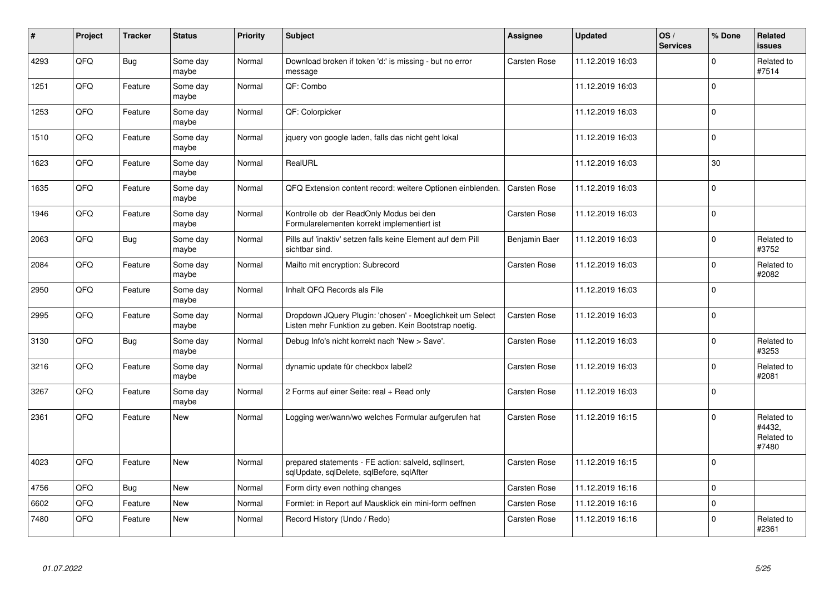| #    | Project | <b>Tracker</b> | <b>Status</b>     | <b>Priority</b> | <b>Subject</b>                                                                                                     | <b>Assignee</b>     | <b>Updated</b>   | OS/<br><b>Services</b> | % Done      | Related<br>issues                           |
|------|---------|----------------|-------------------|-----------------|--------------------------------------------------------------------------------------------------------------------|---------------------|------------------|------------------------|-------------|---------------------------------------------|
| 4293 | QFQ     | <b>Bug</b>     | Some day<br>maybe | Normal          | Download broken if token 'd:' is missing - but no error<br>message                                                 | Carsten Rose        | 11.12.2019 16:03 |                        | $\Omega$    | Related to<br>#7514                         |
| 1251 | QFQ     | Feature        | Some day<br>maybe | Normal          | QF: Combo                                                                                                          |                     | 11.12.2019 16:03 |                        | $\Omega$    |                                             |
| 1253 | QFQ     | Feature        | Some day<br>maybe | Normal          | QF: Colorpicker                                                                                                    |                     | 11.12.2019 16:03 |                        | $\Omega$    |                                             |
| 1510 | QFQ     | Feature        | Some day<br>maybe | Normal          | jquery von google laden, falls das nicht geht lokal                                                                |                     | 11.12.2019 16:03 |                        | $\Omega$    |                                             |
| 1623 | QFQ     | Feature        | Some day<br>maybe | Normal          | RealURL                                                                                                            |                     | 11.12.2019 16:03 |                        | 30          |                                             |
| 1635 | QFQ     | Feature        | Some day<br>maybe | Normal          | QFQ Extension content record: weitere Optionen einblenden.                                                         | Carsten Rose        | 11.12.2019 16:03 |                        | $\Omega$    |                                             |
| 1946 | QFQ     | Feature        | Some day<br>maybe | Normal          | Kontrolle ob der ReadOnly Modus bei den<br>Formularelementen korrekt implementiert ist                             | Carsten Rose        | 11.12.2019 16:03 |                        | 0           |                                             |
| 2063 | QFQ     | <b>Bug</b>     | Some day<br>maybe | Normal          | Pills auf 'inaktiv' setzen falls keine Element auf dem Pill<br>sichtbar sind.                                      | Benjamin Baer       | 11.12.2019 16:03 |                        | $\Omega$    | Related to<br>#3752                         |
| 2084 | QFQ     | Feature        | Some day<br>maybe | Normal          | Mailto mit encryption: Subrecord                                                                                   | Carsten Rose        | 11.12.2019 16:03 |                        | $\Omega$    | Related to<br>#2082                         |
| 2950 | QFQ     | Feature        | Some day<br>maybe | Normal          | Inhalt QFQ Records als File                                                                                        |                     | 11.12.2019 16:03 |                        | $\Omega$    |                                             |
| 2995 | QFQ     | Feature        | Some day<br>maybe | Normal          | Dropdown JQuery Plugin: 'chosen' - Moeglichkeit um Select<br>Listen mehr Funktion zu geben. Kein Bootstrap noetig. | Carsten Rose        | 11.12.2019 16:03 |                        | 0           |                                             |
| 3130 | QFQ     | <b>Bug</b>     | Some day<br>maybe | Normal          | Debug Info's nicht korrekt nach 'New > Save'.                                                                      | Carsten Rose        | 11.12.2019 16:03 |                        | $\Omega$    | Related to<br>#3253                         |
| 3216 | QFQ     | Feature        | Some day<br>maybe | Normal          | dynamic update für checkbox label2                                                                                 | Carsten Rose        | 11.12.2019 16:03 |                        | $\Omega$    | Related to<br>#2081                         |
| 3267 | QFQ     | Feature        | Some day<br>maybe | Normal          | 2 Forms auf einer Seite: real + Read only                                                                          | Carsten Rose        | 11.12.2019 16:03 |                        | $\mathbf 0$ |                                             |
| 2361 | QFQ     | Feature        | New               | Normal          | Logging wer/wann/wo welches Formular aufgerufen hat                                                                | Carsten Rose        | 11.12.2019 16:15 |                        | $\Omega$    | Related to<br>#4432,<br>Related to<br>#7480 |
| 4023 | QFQ     | Feature        | <b>New</b>        | Normal          | prepared statements - FE action: salveld, sqllnsert,<br>sqlUpdate, sqlDelete, sqlBefore, sqlAfter                  | Carsten Rose        | 11.12.2019 16:15 |                        | 0           |                                             |
| 4756 | QFQ     | Bug            | <b>New</b>        | Normal          | Form dirty even nothing changes                                                                                    | <b>Carsten Rose</b> | 11.12.2019 16:16 |                        | $\Omega$    |                                             |
| 6602 | QFQ     | Feature        | <b>New</b>        | Normal          | Formlet: in Report auf Mausklick ein mini-form oeffnen                                                             | <b>Carsten Rose</b> | 11.12.2019 16:16 |                        | 0           |                                             |
| 7480 | QFQ     | Feature        | New               | Normal          | Record History (Undo / Redo)                                                                                       | Carsten Rose        | 11.12.2019 16:16 |                        | $\Omega$    | Related to<br>#2361                         |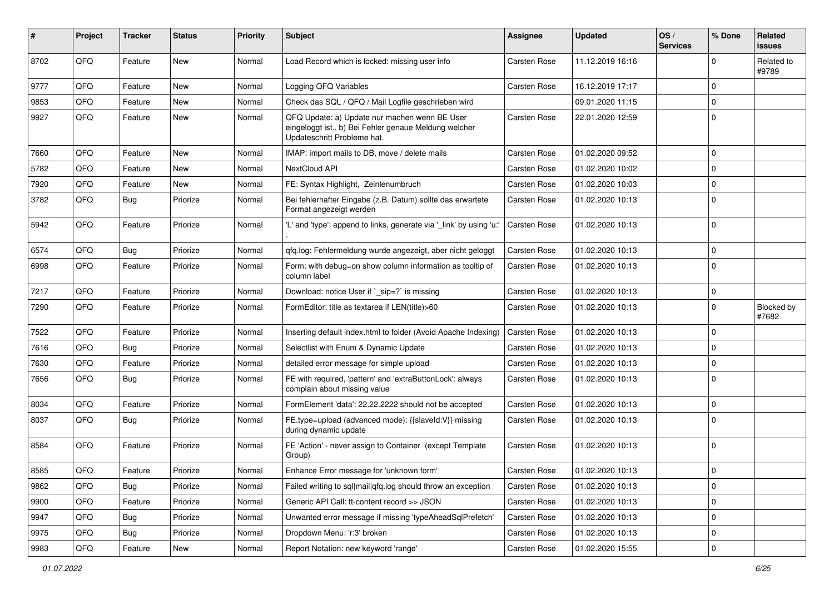| ∦    | Project | <b>Tracker</b> | <b>Status</b> | <b>Priority</b> | Subject                                                                                                                               | Assignee     | <b>Updated</b>   | OS/<br><b>Services</b> | % Done      | Related<br><b>issues</b> |
|------|---------|----------------|---------------|-----------------|---------------------------------------------------------------------------------------------------------------------------------------|--------------|------------------|------------------------|-------------|--------------------------|
| 8702 | QFQ     | Feature        | New           | Normal          | Load Record which is locked: missing user info                                                                                        | Carsten Rose | 11.12.2019 16:16 |                        | 0           | Related to<br>#9789      |
| 9777 | QFQ     | Feature        | New           | Normal          | Logging QFQ Variables                                                                                                                 | Carsten Rose | 16.12.2019 17:17 |                        | 0           |                          |
| 9853 | QFQ     | Feature        | <b>New</b>    | Normal          | Check das SQL / QFQ / Mail Logfile geschrieben wird                                                                                   |              | 09.01.2020 11:15 |                        | 0           |                          |
| 9927 | QFQ     | Feature        | New           | Normal          | QFQ Update: a) Update nur machen wenn BE User<br>eingeloggt ist., b) Bei Fehler genaue Meldung welcher<br>Updateschritt Probleme hat. | Carsten Rose | 22.01.2020 12:59 |                        | 0           |                          |
| 7660 | QFQ     | Feature        | New           | Normal          | IMAP: import mails to DB, move / delete mails                                                                                         | Carsten Rose | 01.02.2020 09:52 |                        | 0           |                          |
| 5782 | QFQ     | Feature        | New           | Normal          | NextCloud API                                                                                                                         | Carsten Rose | 01.02.2020 10:02 |                        | 0           |                          |
| 7920 | QFQ     | Feature        | <b>New</b>    | Normal          | FE: Syntax Highlight, Zeinlenumbruch                                                                                                  | Carsten Rose | 01.02.2020 10:03 |                        | $\mathbf 0$ |                          |
| 3782 | QFQ     | <b>Bug</b>     | Priorize      | Normal          | Bei fehlerhafter Eingabe (z.B. Datum) sollte das erwartete<br>Format angezeigt werden                                                 | Carsten Rose | 01.02.2020 10:13 |                        | 0           |                          |
| 5942 | QFQ     | Feature        | Priorize      | Normal          | 'L' and 'type': append to links, generate via '_link' by using 'u:'                                                                   | Carsten Rose | 01.02.2020 10:13 |                        | 0           |                          |
| 6574 | QFQ     | Bug            | Priorize      | Normal          | qfq.log: Fehlermeldung wurde angezeigt, aber nicht geloggt                                                                            | Carsten Rose | 01.02.2020 10:13 |                        | 0           |                          |
| 6998 | QFQ     | Feature        | Priorize      | Normal          | Form: with debug=on show column information as tooltip of<br>column label                                                             | Carsten Rose | 01.02.2020 10:13 |                        | 0           |                          |
| 7217 | QFQ     | Feature        | Priorize      | Normal          | Download: notice User if `_sip=?` is missing                                                                                          | Carsten Rose | 01.02.2020 10:13 |                        | 0           |                          |
| 7290 | QFQ     | Feature        | Priorize      | Normal          | FormEditor: title as textarea if LEN(title)>60                                                                                        | Carsten Rose | 01.02.2020 10:13 |                        | 0           | Blocked by<br>#7682      |
| 7522 | QFQ     | Feature        | Priorize      | Normal          | Inserting default index.html to folder (Avoid Apache Indexing)                                                                        | Carsten Rose | 01.02.2020 10:13 |                        | 0           |                          |
| 7616 | QFQ     | Bug            | Priorize      | Normal          | Selectlist with Enum & Dynamic Update                                                                                                 | Carsten Rose | 01.02.2020 10:13 |                        | 0           |                          |
| 7630 | QFQ     | Feature        | Priorize      | Normal          | detailed error message for simple upload                                                                                              | Carsten Rose | 01.02.2020 10:13 |                        | 0           |                          |
| 7656 | QFQ     | Bug            | Priorize      | Normal          | FE with required, 'pattern' and 'extraButtonLock': always<br>complain about missing value                                             | Carsten Rose | 01.02.2020 10:13 |                        | 0           |                          |
| 8034 | QFQ     | Feature        | Priorize      | Normal          | FormElement 'data': 22.22.2222 should not be accepted                                                                                 | Carsten Rose | 01.02.2020 10:13 |                        | 0           |                          |
| 8037 | QFQ     | Bug            | Priorize      | Normal          | FE.type=upload (advanced mode): {{slaveId:V}} missing<br>during dynamic update                                                        | Carsten Rose | 01.02.2020 10:13 |                        | 0           |                          |
| 8584 | QFQ     | Feature        | Priorize      | Normal          | FE 'Action' - never assign to Container (except Template)<br>Group)                                                                   | Carsten Rose | 01.02.2020 10:13 |                        | 0           |                          |
| 8585 | QFG     | Feature        | Priorize      | Normal          | Enhance Error message for 'unknown form'                                                                                              | Carsten Rose | 01.02.2020 10:13 |                        | 0           |                          |
| 9862 | QFQ     | <b>Bug</b>     | Priorize      | Normal          | Failed writing to sql mail qfq.log should throw an exception                                                                          | Carsten Rose | 01.02.2020 10:13 |                        | $\mathbf 0$ |                          |
| 9900 | QFQ     | Feature        | Priorize      | Normal          | Generic API Call: tt-content record >> JSON                                                                                           | Carsten Rose | 01.02.2020 10:13 |                        | 0           |                          |
| 9947 | QFQ     | <b>Bug</b>     | Priorize      | Normal          | Unwanted error message if missing 'typeAheadSqlPrefetch'                                                                              | Carsten Rose | 01.02.2020 10:13 |                        | 0           |                          |
| 9975 | QFQ     | <b>Bug</b>     | Priorize      | Normal          | Dropdown Menu: 'r:3' broken                                                                                                           | Carsten Rose | 01.02.2020 10:13 |                        | 0           |                          |
| 9983 | QFQ     | Feature        | New           | Normal          | Report Notation: new keyword 'range'                                                                                                  | Carsten Rose | 01.02.2020 15:55 |                        | 0           |                          |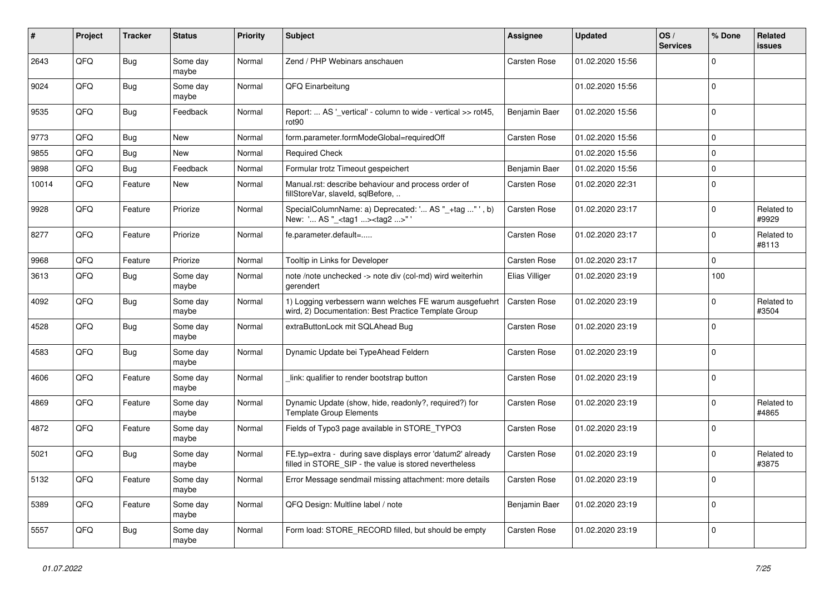| #     | Project | <b>Tracker</b> | <b>Status</b>     | <b>Priority</b> | <b>Subject</b>                                                                                                       | Assignee            | <b>Updated</b>   | OS/<br><b>Services</b> | % Done      | Related<br>issues   |
|-------|---------|----------------|-------------------|-----------------|----------------------------------------------------------------------------------------------------------------------|---------------------|------------------|------------------------|-------------|---------------------|
| 2643  | QFQ     | <b>Bug</b>     | Some day<br>maybe | Normal          | Zend / PHP Webinars anschauen                                                                                        | Carsten Rose        | 01.02.2020 15:56 |                        | $\Omega$    |                     |
| 9024  | QFQ     | <b>Bug</b>     | Some day<br>maybe | Normal          | QFQ Einarbeitung                                                                                                     |                     | 01.02.2020 15:56 |                        | $\Omega$    |                     |
| 9535  | QFQ     | <b>Bug</b>     | Feedback          | Normal          | Report:  AS ' vertical' - column to wide - vertical >> rot45,<br>rot90                                               | Benjamin Baer       | 01.02.2020 15:56 |                        | $\Omega$    |                     |
| 9773  | QFQ     | Bug            | <b>New</b>        | Normal          | form.parameter.formModeGlobal=requiredOff                                                                            | <b>Carsten Rose</b> | 01.02.2020 15:56 |                        | $\Omega$    |                     |
| 9855  | QFQ     | Bug            | New               | Normal          | <b>Required Check</b>                                                                                                |                     | 01.02.2020 15:56 |                        | $\mathbf 0$ |                     |
| 9898  | QFQ     | <b>Bug</b>     | Feedback          | Normal          | Formular trotz Timeout gespeichert                                                                                   | Benjamin Baer       | 01.02.2020 15:56 |                        | $\mathbf 0$ |                     |
| 10014 | QFQ     | Feature        | New               | Normal          | Manual.rst: describe behaviour and process order of<br>fillStoreVar, slaveId, sqlBefore,                             | Carsten Rose        | 01.02.2020 22:31 |                        | $\mathbf 0$ |                     |
| 9928  | QFQ     | Feature        | Priorize          | Normal          | SpecialColumnName: a) Deprecated: ' AS "_+tag "', b)<br>New: ' AS " <tag1><tag2>"</tag2></tag1>                      | <b>Carsten Rose</b> | 01.02.2020 23:17 |                        | $\Omega$    | Related to<br>#9929 |
| 8277  | QFQ     | Feature        | Priorize          | Normal          | fe.parameter.default=                                                                                                | Carsten Rose        | 01.02.2020 23:17 |                        | $\Omega$    | Related to<br>#8113 |
| 9968  | QFQ     | Feature        | Priorize          | Normal          | Tooltip in Links for Developer                                                                                       | Carsten Rose        | 01.02.2020 23:17 |                        | $\mathbf 0$ |                     |
| 3613  | QFQ     | Bug            | Some day<br>maybe | Normal          | note /note unchecked -> note div (col-md) wird weiterhin<br>gerendert                                                | Elias Villiger      | 01.02.2020 23:19 |                        | 100         |                     |
| 4092  | QFQ     | Bug            | Some day<br>maybe | Normal          | 1) Logging verbessern wann welches FE warum ausgefuehrt<br>wird, 2) Documentation: Best Practice Template Group      | Carsten Rose        | 01.02.2020 23:19 |                        | $\Omega$    | Related to<br>#3504 |
| 4528  | QFQ     | <b>Bug</b>     | Some day<br>maybe | Normal          | extraButtonLock mit SQLAhead Bug                                                                                     | Carsten Rose        | 01.02.2020 23:19 |                        | $\Omega$    |                     |
| 4583  | QFQ     | <b>Bug</b>     | Some day<br>maybe | Normal          | Dynamic Update bei TypeAhead Feldern                                                                                 | Carsten Rose        | 01.02.2020 23:19 |                        | $\Omega$    |                     |
| 4606  | QFQ     | Feature        | Some day<br>maybe | Normal          | link: qualifier to render bootstrap button                                                                           | Carsten Rose        | 01.02.2020 23:19 |                        | $\Omega$    |                     |
| 4869  | QFQ     | Feature        | Some day<br>maybe | Normal          | Dynamic Update (show, hide, readonly?, required?) for<br><b>Template Group Elements</b>                              | Carsten Rose        | 01.02.2020 23:19 |                        | $\Omega$    | Related to<br>#4865 |
| 4872  | QFQ     | Feature        | Some day<br>maybe | Normal          | Fields of Typo3 page available in STORE_TYPO3                                                                        | Carsten Rose        | 01.02.2020 23:19 |                        | $\Omega$    |                     |
| 5021  | QFQ     | <b>Bug</b>     | Some day<br>maybe | Normal          | FE.typ=extra - during save displays error 'datum2' already<br>filled in STORE_SIP - the value is stored nevertheless | Carsten Rose        | 01.02.2020 23:19 |                        | $\mathbf 0$ | Related to<br>#3875 |
| 5132  | QFQ     | Feature        | Some day<br>maybe | Normal          | Error Message sendmail missing attachment: more details                                                              | Carsten Rose        | 01.02.2020 23:19 |                        | $\Omega$    |                     |
| 5389  | QFQ     | Feature        | Some day<br>maybe | Normal          | QFQ Design: Multline label / note                                                                                    | Benjamin Baer       | 01.02.2020 23:19 |                        | $\Omega$    |                     |
| 5557  | QFQ     | Bug            | Some day<br>maybe | Normal          | Form load: STORE_RECORD filled, but should be empty                                                                  | Carsten Rose        | 01.02.2020 23:19 |                        | $\mathbf 0$ |                     |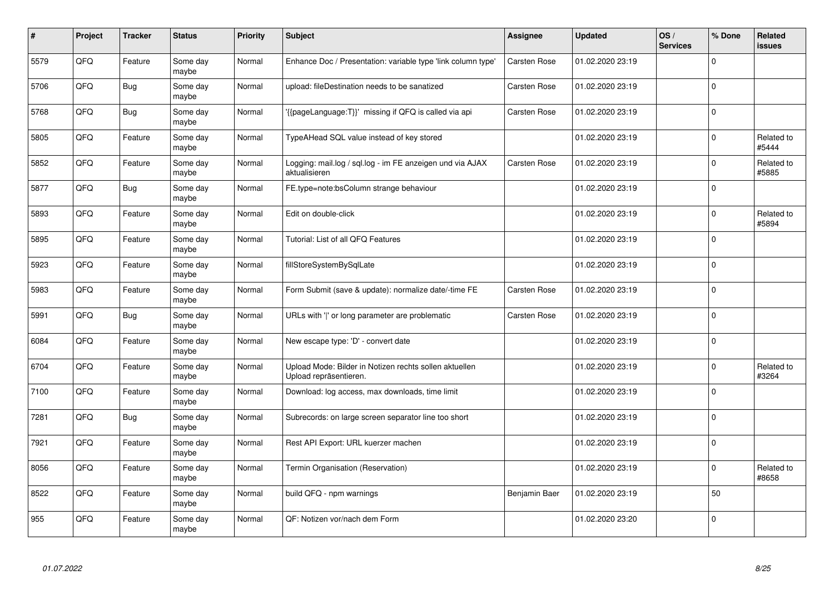| $\vert$ # | Project | <b>Tracker</b> | <b>Status</b>     | <b>Priority</b> | <b>Subject</b>                                                                   | Assignee            | <b>Updated</b>   | OS/<br><b>Services</b> | % Done      | Related<br>issues   |
|-----------|---------|----------------|-------------------|-----------------|----------------------------------------------------------------------------------|---------------------|------------------|------------------------|-------------|---------------------|
| 5579      | QFQ     | Feature        | Some day<br>maybe | Normal          | Enhance Doc / Presentation: variable type 'link column type'                     | Carsten Rose        | 01.02.2020 23:19 |                        | $\Omega$    |                     |
| 5706      | QFQ     | <b>Bug</b>     | Some day<br>maybe | Normal          | upload: fileDestination needs to be sanatized                                    | Carsten Rose        | 01.02.2020 23:19 |                        | $\Omega$    |                     |
| 5768      | QFQ     | <b>Bug</b>     | Some day<br>maybe | Normal          | '{{pageLanguage:T}}' missing if QFQ is called via api                            | Carsten Rose        | 01.02.2020 23:19 |                        | $\Omega$    |                     |
| 5805      | QFQ     | Feature        | Some day<br>maybe | Normal          | TypeAHead SQL value instead of key stored                                        |                     | 01.02.2020 23:19 |                        | $\Omega$    | Related to<br>#5444 |
| 5852      | QFQ     | Feature        | Some day<br>maybe | Normal          | Logging: mail.log / sql.log - im FE anzeigen und via AJAX<br>aktualisieren       | Carsten Rose        | 01.02.2020 23:19 |                        | $\Omega$    | Related to<br>#5885 |
| 5877      | QFQ     | Bug            | Some day<br>maybe | Normal          | FE.type=note:bsColumn strange behaviour                                          |                     | 01.02.2020 23:19 |                        | $\Omega$    |                     |
| 5893      | QFQ     | Feature        | Some day<br>maybe | Normal          | Edit on double-click                                                             |                     | 01.02.2020 23:19 |                        | 0           | Related to<br>#5894 |
| 5895      | QFQ     | Feature        | Some day<br>maybe | Normal          | Tutorial: List of all QFQ Features                                               |                     | 01.02.2020 23:19 |                        | $\Omega$    |                     |
| 5923      | QFQ     | Feature        | Some day<br>maybe | Normal          | fillStoreSystemBySqlLate                                                         |                     | 01.02.2020 23:19 |                        | $\Omega$    |                     |
| 5983      | QFQ     | Feature        | Some day<br>maybe | Normal          | Form Submit (save & update): normalize date/-time FE                             | Carsten Rose        | 01.02.2020 23:19 |                        | $\Omega$    |                     |
| 5991      | QFQ     | <b>Bug</b>     | Some day<br>maybe | Normal          | URLs with ' ' or long parameter are problematic                                  | <b>Carsten Rose</b> | 01.02.2020 23:19 |                        | $\Omega$    |                     |
| 6084      | QFQ     | Feature        | Some day<br>maybe | Normal          | New escape type: 'D' - convert date                                              |                     | 01.02.2020 23:19 |                        | $\Omega$    |                     |
| 6704      | QFQ     | Feature        | Some day<br>maybe | Normal          | Upload Mode: Bilder in Notizen rechts sollen aktuellen<br>Upload repräsentieren. |                     | 01.02.2020 23:19 |                        | $\mathbf 0$ | Related to<br>#3264 |
| 7100      | QFQ     | Feature        | Some day<br>maybe | Normal          | Download: log access, max downloads, time limit                                  |                     | 01.02.2020 23:19 |                        | $\mathbf 0$ |                     |
| 7281      | QFQ     | <b>Bug</b>     | Some day<br>maybe | Normal          | Subrecords: on large screen separator line too short                             |                     | 01.02.2020 23:19 |                        | $\Omega$    |                     |
| 7921      | QFQ     | Feature        | Some day<br>maybe | Normal          | Rest API Export: URL kuerzer machen                                              |                     | 01.02.2020 23:19 |                        | $\Omega$    |                     |
| 8056      | QFQ     | Feature        | Some day<br>maybe | Normal          | Termin Organisation (Reservation)                                                |                     | 01.02.2020 23:19 |                        | $\Omega$    | Related to<br>#8658 |
| 8522      | QFQ     | Feature        | Some day<br>maybe | Normal          | build QFQ - npm warnings                                                         | Benjamin Baer       | 01.02.2020 23:19 |                        | 50          |                     |
| 955       | QFQ     | Feature        | Some day<br>maybe | Normal          | QF: Notizen vor/nach dem Form                                                    |                     | 01.02.2020 23:20 |                        | $\Omega$    |                     |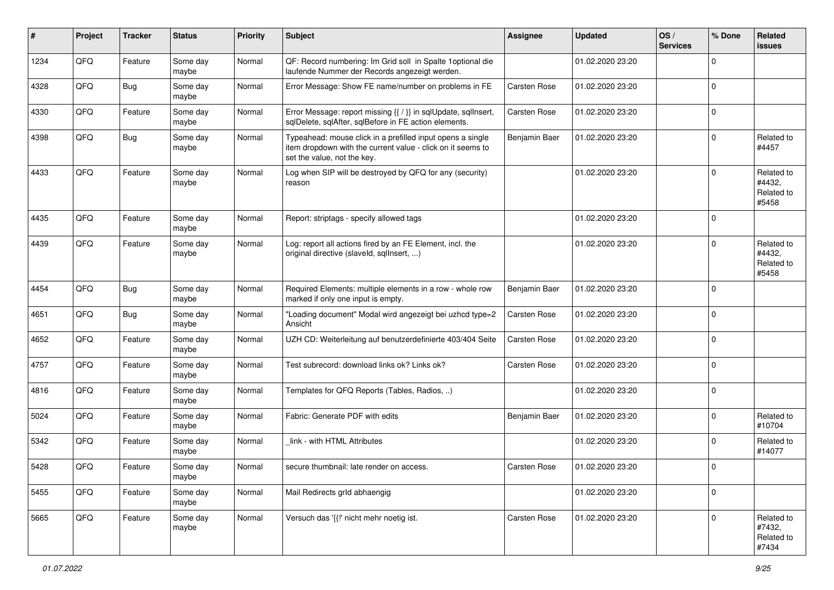| ∦    | Project | <b>Tracker</b> | <b>Status</b>     | <b>Priority</b> | <b>Subject</b>                                                                                                                                           | <b>Assignee</b>     | <b>Updated</b>   | OS/<br><b>Services</b> | % Done      | Related<br><b>issues</b>                    |
|------|---------|----------------|-------------------|-----------------|----------------------------------------------------------------------------------------------------------------------------------------------------------|---------------------|------------------|------------------------|-------------|---------------------------------------------|
| 1234 | QFQ     | Feature        | Some day<br>maybe | Normal          | QF: Record numbering: Im Grid soll in Spalte 1optional die<br>laufende Nummer der Records angezeigt werden.                                              |                     | 01.02.2020 23:20 |                        | 0           |                                             |
| 4328 | QFQ     | <b>Bug</b>     | Some day<br>maybe | Normal          | Error Message: Show FE name/number on problems in FE                                                                                                     | <b>Carsten Rose</b> | 01.02.2020 23:20 |                        | $\Omega$    |                                             |
| 4330 | QFQ     | Feature        | Some day<br>maybe | Normal          | Error Message: report missing {{ / }} in sqlUpdate, sqlInsert,<br>sqlDelete, sqlAfter, sqlBefore in FE action elements.                                  | Carsten Rose        | 01.02.2020 23:20 |                        | 0           |                                             |
| 4398 | QFQ     | <b>Bug</b>     | Some day<br>maybe | Normal          | Typeahead: mouse click in a prefilled input opens a single<br>item dropdown with the current value - click on it seems to<br>set the value, not the key. | Benjamin Baer       | 01.02.2020 23:20 |                        | $\Omega$    | Related to<br>#4457                         |
| 4433 | QFQ     | Feature        | Some day<br>maybe | Normal          | Log when SIP will be destroyed by QFQ for any (security)<br>reason                                                                                       |                     | 01.02.2020 23:20 |                        | $\Omega$    | Related to<br>#4432,<br>Related to<br>#5458 |
| 4435 | QFQ     | Feature        | Some day<br>maybe | Normal          | Report: striptags - specify allowed tags                                                                                                                 |                     | 01.02.2020 23:20 |                        | $\Omega$    |                                             |
| 4439 | QFQ     | Feature        | Some day<br>maybe | Normal          | Log: report all actions fired by an FE Element, incl. the<br>original directive (slaveld, sqllnsert, )                                                   |                     | 01.02.2020 23:20 |                        | $\Omega$    | Related to<br>#4432,<br>Related to<br>#5458 |
| 4454 | QFQ     | <b>Bug</b>     | Some day<br>maybe | Normal          | Required Elements: multiple elements in a row - whole row<br>marked if only one input is empty.                                                          | Benjamin Baer       | 01.02.2020 23:20 |                        | $\mathbf 0$ |                                             |
| 4651 | QFQ     | <b>Bug</b>     | Some day<br>maybe | Normal          | "Loading document" Modal wird angezeigt bei uzhcd type=2<br>Ansicht                                                                                      | Carsten Rose        | 01.02.2020 23:20 |                        | $\Omega$    |                                             |
| 4652 | QFQ     | Feature        | Some day<br>maybe | Normal          | UZH CD: Weiterleitung auf benutzerdefinierte 403/404 Seite                                                                                               | <b>Carsten Rose</b> | 01.02.2020 23:20 |                        | $\Omega$    |                                             |
| 4757 | QFQ     | Feature        | Some day<br>maybe | Normal          | Test subrecord: download links ok? Links ok?                                                                                                             | <b>Carsten Rose</b> | 01.02.2020 23:20 |                        | $\Omega$    |                                             |
| 4816 | QFQ     | Feature        | Some day<br>maybe | Normal          | Templates for QFQ Reports (Tables, Radios, )                                                                                                             |                     | 01.02.2020 23:20 |                        | $\Omega$    |                                             |
| 5024 | QFQ     | Feature        | Some day<br>maybe | Normal          | Fabric: Generate PDF with edits                                                                                                                          | Benjamin Baer       | 01.02.2020 23:20 |                        | $\Omega$    | Related to<br>#10704                        |
| 5342 | QFQ     | Feature        | Some day<br>maybe | Normal          | link - with HTML Attributes                                                                                                                              |                     | 01.02.2020 23:20 |                        | 0           | Related to<br>#14077                        |
| 5428 | QFQ     | Feature        | Some day<br>maybe | Normal          | secure thumbnail: late render on access.                                                                                                                 | <b>Carsten Rose</b> | 01.02.2020 23:20 |                        | $\mathbf 0$ |                                             |
| 5455 | QFQ     | Feature        | Some day<br>maybe | Normal          | Mail Redirects grld abhaengig                                                                                                                            |                     | 01.02.2020 23:20 |                        | $\mathbf 0$ |                                             |
| 5665 | QFG     | Feature        | Some day<br>maybe | Normal          | Versuch das '{{!' nicht mehr noetig ist.                                                                                                                 | Carsten Rose        | 01.02.2020 23:20 |                        | $\mathbf 0$ | Related to<br>#7432,<br>Related to<br>#7434 |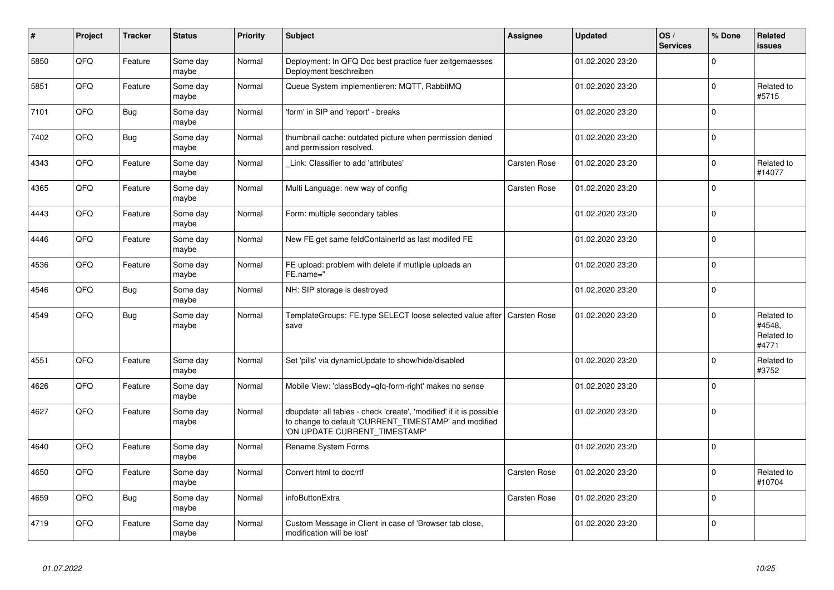| $\vert$ # | Project | <b>Tracker</b> | <b>Status</b>     | <b>Priority</b> | <b>Subject</b>                                                                                                                                                | <b>Assignee</b> | <b>Updated</b>   | OS/<br><b>Services</b> | % Done      | Related<br><b>issues</b>                    |
|-----------|---------|----------------|-------------------|-----------------|---------------------------------------------------------------------------------------------------------------------------------------------------------------|-----------------|------------------|------------------------|-------------|---------------------------------------------|
| 5850      | QFQ     | Feature        | Some day<br>maybe | Normal          | Deployment: In QFQ Doc best practice fuer zeitgemaesses<br>Deployment beschreiben                                                                             |                 | 01.02.2020 23:20 |                        | $\mathbf 0$ |                                             |
| 5851      | QFQ     | Feature        | Some day<br>maybe | Normal          | Queue System implementieren: MQTT, RabbitMQ                                                                                                                   |                 | 01.02.2020 23:20 |                        | $\mathbf 0$ | Related to<br>#5715                         |
| 7101      | QFQ     | <b>Bug</b>     | Some day<br>maybe | Normal          | 'form' in SIP and 'report' - breaks                                                                                                                           |                 | 01.02.2020 23:20 |                        | $\mathbf 0$ |                                             |
| 7402      | QFQ     | <b>Bug</b>     | Some day<br>maybe | Normal          | thumbnail cache: outdated picture when permission denied<br>and permission resolved.                                                                          |                 | 01.02.2020 23:20 |                        | $\Omega$    |                                             |
| 4343      | QFQ     | Feature        | Some day<br>maybe | Normal          | Link: Classifier to add 'attributes'                                                                                                                          | Carsten Rose    | 01.02.2020 23:20 |                        | $\mathbf 0$ | Related to<br>#14077                        |
| 4365      | QFQ     | Feature        | Some day<br>maybe | Normal          | Multi Language: new way of config                                                                                                                             | Carsten Rose    | 01.02.2020 23:20 |                        | $\Omega$    |                                             |
| 4443      | QFQ     | Feature        | Some day<br>maybe | Normal          | Form: multiple secondary tables                                                                                                                               |                 | 01.02.2020 23:20 |                        | $\Omega$    |                                             |
| 4446      | QFQ     | Feature        | Some day<br>maybe | Normal          | New FE get same feldContainerId as last modifed FE                                                                                                            |                 | 01.02.2020 23:20 |                        | $\Omega$    |                                             |
| 4536      | QFQ     | Feature        | Some day<br>maybe | Normal          | FE upload: problem with delete if mutliple uploads an<br>FE.name="                                                                                            |                 | 01.02.2020 23:20 |                        | 0           |                                             |
| 4546      | QFQ     | <b>Bug</b>     | Some day<br>maybe | Normal          | NH: SIP storage is destroyed                                                                                                                                  |                 | 01.02.2020 23:20 |                        | $\mathbf 0$ |                                             |
| 4549      | QFQ     | <b>Bug</b>     | Some day<br>maybe | Normal          | TemplateGroups: FE.type SELECT loose selected value after   Carsten Rose<br>save                                                                              |                 | 01.02.2020 23:20 |                        | $\Omega$    | Related to<br>#4548.<br>Related to<br>#4771 |
| 4551      | QFQ     | Feature        | Some day<br>maybe | Normal          | Set 'pills' via dynamicUpdate to show/hide/disabled                                                                                                           |                 | 01.02.2020 23:20 |                        | 0           | Related to<br>#3752                         |
| 4626      | QFQ     | Feature        | Some day<br>maybe | Normal          | Mobile View: 'classBody=qfq-form-right' makes no sense                                                                                                        |                 | 01.02.2020 23:20 |                        | $\Omega$    |                                             |
| 4627      | QFQ     | Feature        | Some day<br>maybe | Normal          | dbupdate: all tables - check 'create', 'modified' if it is possible<br>to change to default 'CURRENT_TIMESTAMP' and modified<br>'ON UPDATE CURRENT_TIMESTAMP' |                 | 01.02.2020 23:20 |                        | $\Omega$    |                                             |
| 4640      | QFQ     | Feature        | Some day<br>maybe | Normal          | <b>Rename System Forms</b>                                                                                                                                    |                 | 01.02.2020 23:20 |                        | $\Omega$    |                                             |
| 4650      | QFQ     | Feature        | Some day<br>maybe | Normal          | Convert html to doc/rtf                                                                                                                                       | Carsten Rose    | 01.02.2020 23:20 |                        | $\Omega$    | Related to<br>#10704                        |
| 4659      | QFQ     | <b>Bug</b>     | Some day<br>maybe | Normal          | infoButtonExtra                                                                                                                                               | Carsten Rose    | 01.02.2020 23:20 |                        | 0           |                                             |
| 4719      | QFQ     | Feature        | Some day<br>maybe | Normal          | Custom Message in Client in case of 'Browser tab close,<br>modification will be lost'                                                                         |                 | 01.02.2020 23:20 |                        | $\mathbf 0$ |                                             |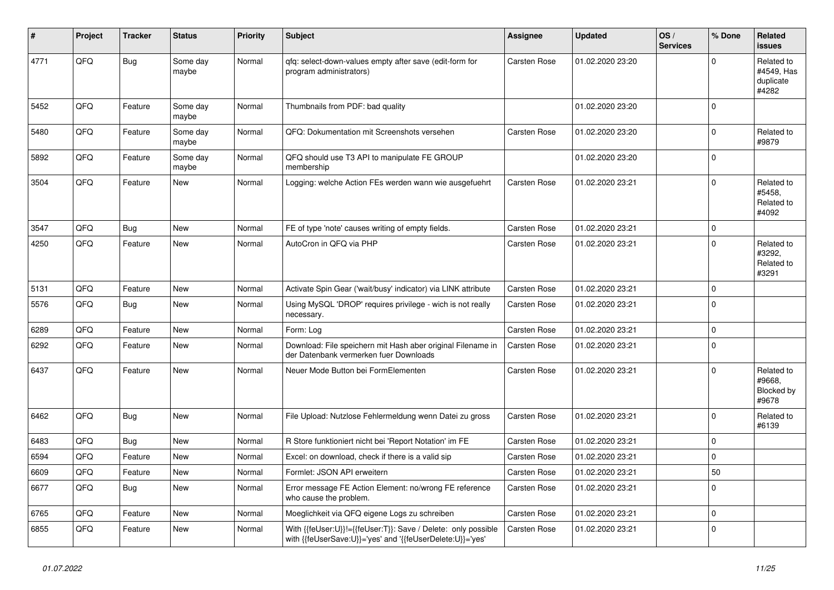| ∦    | Project | <b>Tracker</b> | <b>Status</b>     | <b>Priority</b> | <b>Subject</b>                                                                                                             | Assignee            | <b>Updated</b>   | OS/<br><b>Services</b> | % Done       | Related<br>issues                              |
|------|---------|----------------|-------------------|-----------------|----------------------------------------------------------------------------------------------------------------------------|---------------------|------------------|------------------------|--------------|------------------------------------------------|
| 4771 | QFQ     | Bug            | Some day<br>maybe | Normal          | qfq: select-down-values empty after save (edit-form for<br>program administrators)                                         | Carsten Rose        | 01.02.2020 23:20 |                        | 0            | Related to<br>#4549, Has<br>duplicate<br>#4282 |
| 5452 | QFQ     | Feature        | Some day<br>maybe | Normal          | Thumbnails from PDF: bad quality                                                                                           |                     | 01.02.2020 23:20 |                        | $\Omega$     |                                                |
| 5480 | QFQ     | Feature        | Some day<br>maybe | Normal          | QFQ: Dokumentation mit Screenshots versehen                                                                                | Carsten Rose        | 01.02.2020 23:20 |                        | $\Omega$     | Related to<br>#9879                            |
| 5892 | QFQ     | Feature        | Some day<br>maybe | Normal          | QFQ should use T3 API to manipulate FE GROUP<br>membership                                                                 |                     | 01.02.2020 23:20 |                        | $\Omega$     |                                                |
| 3504 | QFQ     | Feature        | New               | Normal          | Logging: welche Action FEs werden wann wie ausgefuehrt                                                                     | Carsten Rose        | 01.02.2020 23:21 |                        | $\Omega$     | Related to<br>#5458,<br>Related to<br>#4092    |
| 3547 | QFQ     | <b>Bug</b>     | <b>New</b>        | Normal          | FE of type 'note' causes writing of empty fields.                                                                          | <b>Carsten Rose</b> | 01.02.2020 23:21 |                        | $\Omega$     |                                                |
| 4250 | QFQ     | Feature        | <b>New</b>        | Normal          | AutoCron in QFQ via PHP                                                                                                    | Carsten Rose        | 01.02.2020 23:21 |                        | 0            | Related to<br>#3292,<br>Related to<br>#3291    |
| 5131 | QFQ     | Feature        | <b>New</b>        | Normal          | Activate Spin Gear ('wait/busy' indicator) via LINK attribute                                                              | Carsten Rose        | 01.02.2020 23:21 |                        | $\Omega$     |                                                |
| 5576 | QFQ     | <b>Bug</b>     | <b>New</b>        | Normal          | Using MySQL 'DROP' requires privilege - wich is not really<br>necessary.                                                   | <b>Carsten Rose</b> | 01.02.2020 23:21 |                        | $\Omega$     |                                                |
| 6289 | QFQ     | Feature        | New               | Normal          | Form: Log                                                                                                                  | Carsten Rose        | 01.02.2020 23:21 |                        | 0            |                                                |
| 6292 | QFQ     | Feature        | New               | Normal          | Download: File speichern mit Hash aber original Filename in<br>der Datenbank vermerken fuer Downloads                      | <b>Carsten Rose</b> | 01.02.2020 23:21 |                        | $\mathbf 0$  |                                                |
| 6437 | QFQ     | Feature        | New               | Normal          | Neuer Mode Button bei FormElementen                                                                                        | Carsten Rose        | 01.02.2020 23:21 |                        | $\Omega$     | Related to<br>#9668,<br>Blocked by<br>#9678    |
| 6462 | QFQ     | Bug            | New               | Normal          | File Upload: Nutzlose Fehlermeldung wenn Datei zu gross                                                                    | Carsten Rose        | 01.02.2020 23:21 |                        | $\Omega$     | Related to<br>#6139                            |
| 6483 | QFQ     | <b>Bug</b>     | New               | Normal          | R Store funktioniert nicht bei 'Report Notation' im FE                                                                     | Carsten Rose        | 01.02.2020 23:21 |                        | $\Omega$     |                                                |
| 6594 | QFQ     | Feature        | New               | Normal          | Excel: on download, check if there is a valid sip                                                                          | Carsten Rose        | 01.02.2020 23:21 |                        | $\Omega$     |                                                |
| 6609 | QFQ     | Feature        | New               | Normal          | Formlet: JSON API erweitern                                                                                                | Carsten Rose        | 01.02.2020 23:21 |                        | 50           |                                                |
| 6677 | QFQ     | <b>Bug</b>     | New               | Normal          | Error message FE Action Element: no/wrong FE reference<br>who cause the problem.                                           | Carsten Rose        | 01.02.2020 23:21 |                        | <sup>0</sup> |                                                |
| 6765 | QFQ     | Feature        | <b>New</b>        | Normal          | Moeglichkeit via QFQ eigene Logs zu schreiben                                                                              | Carsten Rose        | 01.02.2020 23:21 |                        | $\Omega$     |                                                |
| 6855 | QFQ     | Feature        | <b>New</b>        | Normal          | With {{feUser:U}}!={{feUser:T}}: Save / Delete: only possible<br>with {{feUserSave:U}}='yes' and '{{feUserDelete:U}}='yes' | <b>Carsten Rose</b> | 01.02.2020 23:21 |                        | $\Omega$     |                                                |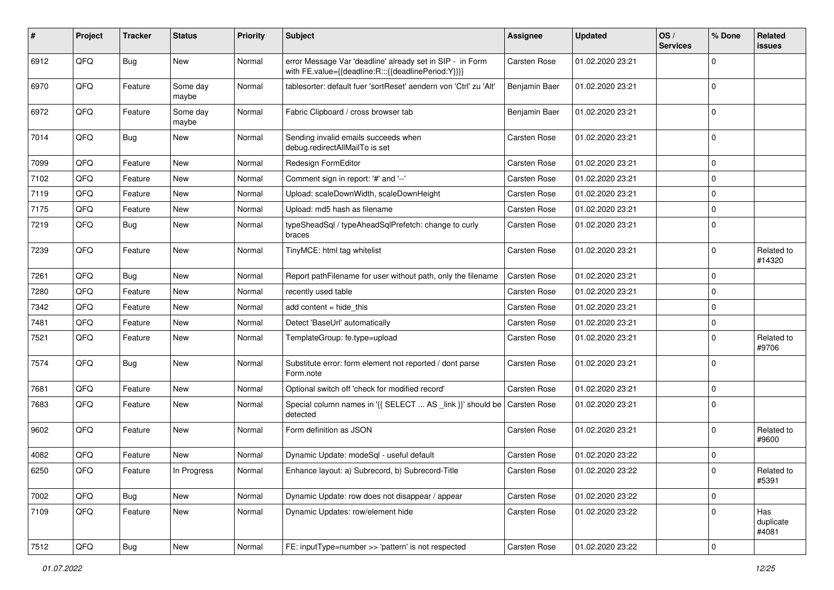| #    | Project | <b>Tracker</b> | <b>Status</b>     | <b>Priority</b> | <b>Subject</b>                                                                                                   | Assignee            | <b>Updated</b>   | OS/<br><b>Services</b> | % Done      | Related<br>issues         |
|------|---------|----------------|-------------------|-----------------|------------------------------------------------------------------------------------------------------------------|---------------------|------------------|------------------------|-------------|---------------------------|
| 6912 | QFQ     | Bug            | New               | Normal          | error Message Var 'deadline' already set in SIP - in Form<br>with FE.value={{deadline:R:::{{deadlinePeriod:Y}}}} | Carsten Rose        | 01.02.2020 23:21 |                        | 0           |                           |
| 6970 | QFQ     | Feature        | Some day<br>maybe | Normal          | tablesorter: default fuer 'sortReset' aendern von 'Ctrl' zu 'Alt'                                                | Benjamin Baer       | 01.02.2020 23:21 |                        | $\mathbf 0$ |                           |
| 6972 | QFQ     | Feature        | Some day<br>maybe | Normal          | Fabric Clipboard / cross browser tab                                                                             | Benjamin Baer       | 01.02.2020 23:21 |                        | $\mathbf 0$ |                           |
| 7014 | QFQ     | <b>Bug</b>     | New               | Normal          | Sending invalid emails succeeds when<br>debug.redirectAllMailTo is set                                           | Carsten Rose        | 01.02.2020 23:21 |                        | $\mathbf 0$ |                           |
| 7099 | QFQ     | Feature        | <b>New</b>        | Normal          | Redesign FormEditor                                                                                              | Carsten Rose        | 01.02.2020 23:21 |                        | $\mathbf 0$ |                           |
| 7102 | QFQ     | Feature        | New               | Normal          | Comment sign in report: '#' and '--'                                                                             | Carsten Rose        | 01.02.2020 23:21 |                        | $\mathbf 0$ |                           |
| 7119 | QFQ     | Feature        | New               | Normal          | Upload: scaleDownWidth, scaleDownHeight                                                                          | Carsten Rose        | 01.02.2020 23:21 |                        | $\mathbf 0$ |                           |
| 7175 | QFQ     | Feature        | <b>New</b>        | Normal          | Upload: md5 hash as filename                                                                                     | Carsten Rose        | 01.02.2020 23:21 |                        | $\mathbf 0$ |                           |
| 7219 | QFQ     | Bug            | New               | Normal          | typeSheadSql / typeAheadSqlPrefetch: change to curly<br>braces                                                   | Carsten Rose        | 01.02.2020 23:21 |                        | $\Omega$    |                           |
| 7239 | QFQ     | Feature        | New               | Normal          | TinyMCE: html tag whitelist                                                                                      | Carsten Rose        | 01.02.2020 23:21 |                        | $\mathbf 0$ | Related to<br>#14320      |
| 7261 | QFQ     | Bug            | <b>New</b>        | Normal          | Report pathFilename for user without path, only the filename                                                     | <b>Carsten Rose</b> | 01.02.2020 23:21 |                        | $\mathbf 0$ |                           |
| 7280 | QFQ     | Feature        | New               | Normal          | recently used table                                                                                              | <b>Carsten Rose</b> | 01.02.2020 23:21 |                        | $\mathbf 0$ |                           |
| 7342 | QFQ     | Feature        | New               | Normal          | add content $=$ hide this                                                                                        | Carsten Rose        | 01.02.2020 23:21 |                        | $\mathbf 0$ |                           |
| 7481 | QFQ     | Feature        | <b>New</b>        | Normal          | Detect 'BaseUrl' automatically                                                                                   | Carsten Rose        | 01.02.2020 23:21 |                        | 0           |                           |
| 7521 | QFQ     | Feature        | New               | Normal          | TemplateGroup: fe.type=upload                                                                                    | Carsten Rose        | 01.02.2020 23:21 |                        | 0           | Related to<br>#9706       |
| 7574 | QFQ     | <b>Bug</b>     | New               | Normal          | Substitute error: form element not reported / dont parse<br>Form.note                                            | Carsten Rose        | 01.02.2020 23:21 |                        | $\Omega$    |                           |
| 7681 | QFQ     | Feature        | <b>New</b>        | Normal          | Optional switch off 'check for modified record'                                                                  | Carsten Rose        | 01.02.2020 23:21 |                        | $\mathbf 0$ |                           |
| 7683 | QFQ     | Feature        | New               | Normal          | Special column names in '{{ SELECT  AS _link }}' should be<br>detected                                           | <b>Carsten Rose</b> | 01.02.2020 23:21 |                        | 0           |                           |
| 9602 | QFQ     | Feature        | New               | Normal          | Form definition as JSON                                                                                          | Carsten Rose        | 01.02.2020 23:21 |                        | 0           | Related to<br>#9600       |
| 4082 | QFQ     | Feature        | New               | Normal          | Dynamic Update: modeSql - useful default                                                                         | Carsten Rose        | 01.02.2020 23:22 |                        | 0           |                           |
| 6250 | QFQ     | Feature        | In Progress       | Normal          | Enhance layout: a) Subrecord, b) Subrecord-Title                                                                 | Carsten Rose        | 01.02.2020 23:22 |                        | 0           | Related to<br>#5391       |
| 7002 | QFQ     | <b>Bug</b>     | New               | Normal          | Dynamic Update: row does not disappear / appear                                                                  | Carsten Rose        | 01.02.2020 23:22 |                        | $\mathbf 0$ |                           |
| 7109 | QFQ     | Feature        | New               | Normal          | Dynamic Updates: row/element hide                                                                                | Carsten Rose        | 01.02.2020 23:22 |                        | 0           | Has<br>duplicate<br>#4081 |
| 7512 | QFQ     | Bug            | New               | Normal          | FE: inputType=number >> 'pattern' is not respected                                                               | Carsten Rose        | 01.02.2020 23:22 |                        | $\mathbf 0$ |                           |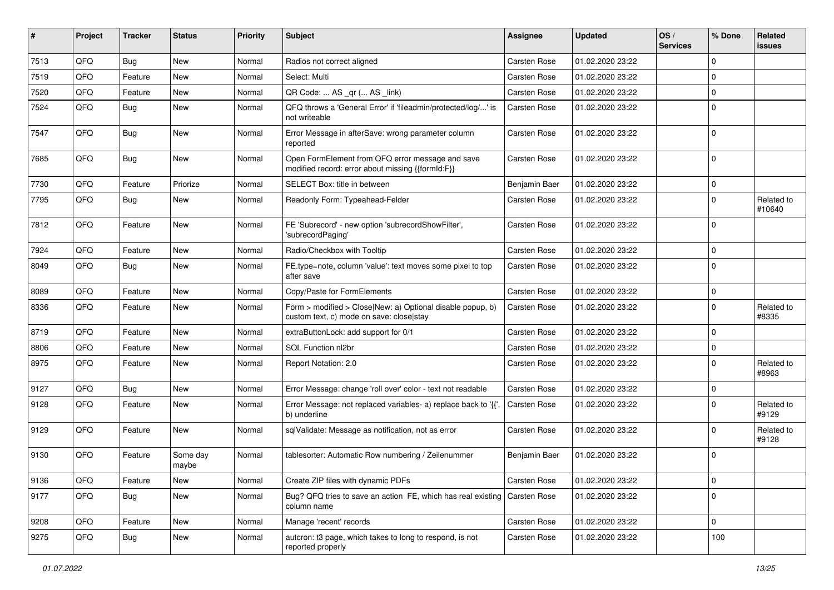| #    | Project | <b>Tracker</b> | <b>Status</b>     | <b>Priority</b> | <b>Subject</b>                                                                                         | <b>Assignee</b>     | <b>Updated</b>   | OS/<br><b>Services</b> | % Done      | Related<br><b>issues</b> |
|------|---------|----------------|-------------------|-----------------|--------------------------------------------------------------------------------------------------------|---------------------|------------------|------------------------|-------------|--------------------------|
| 7513 | QFQ     | Bug            | New               | Normal          | Radios not correct aligned                                                                             | Carsten Rose        | 01.02.2020 23:22 |                        | $\Omega$    |                          |
| 7519 | QFQ     | Feature        | New               | Normal          | Select: Multi                                                                                          | Carsten Rose        | 01.02.2020 23:22 |                        | $\Omega$    |                          |
| 7520 | QFQ     | Feature        | New               | Normal          | QR Code:  AS _qr ( AS _link)                                                                           | Carsten Rose        | 01.02.2020 23:22 |                        | $\Omega$    |                          |
| 7524 | QFQ     | Bug            | New               | Normal          | QFQ throws a 'General Error' if 'fileadmin/protected/log/' is<br>not writeable                         | Carsten Rose        | 01.02.2020 23:22 |                        | $\Omega$    |                          |
| 7547 | QFQ     | <b>Bug</b>     | New               | Normal          | Error Message in afterSave: wrong parameter column<br>reported                                         | Carsten Rose        | 01.02.2020 23:22 |                        | l 0         |                          |
| 7685 | QFQ     | <b>Bug</b>     | New               | Normal          | Open FormElement from QFQ error message and save<br>modified record: error about missing {{formId:F}}  | Carsten Rose        | 01.02.2020 23:22 |                        | 0 I         |                          |
| 7730 | QFQ     | Feature        | Priorize          | Normal          | SELECT Box: title in between                                                                           | Benjamin Baer       | 01.02.2020 23:22 |                        | $\mathbf 0$ |                          |
| 7795 | QFQ     | <b>Bug</b>     | New               | Normal          | Readonly Form: Typeahead-Felder                                                                        | Carsten Rose        | 01.02.2020 23:22 |                        | $\Omega$    | Related to<br>#10640     |
| 7812 | QFQ     | Feature        | New               | Normal          | FE 'Subrecord' - new option 'subrecordShowFilter',<br>'subrecordPaging'                                | Carsten Rose        | 01.02.2020 23:22 |                        | $\Omega$    |                          |
| 7924 | QFQ     | Feature        | New               | Normal          | Radio/Checkbox with Tooltip                                                                            | Carsten Rose        | 01.02.2020 23:22 |                        | $\Omega$    |                          |
| 8049 | QFQ     | Bug            | New               | Normal          | FE.type=note, column 'value': text moves some pixel to top<br>after save                               | Carsten Rose        | 01.02.2020 23:22 |                        | $\Omega$    |                          |
| 8089 | QFQ     | Feature        | New               | Normal          | Copy/Paste for FormElements                                                                            | Carsten Rose        | 01.02.2020 23:22 |                        | $\mathbf 0$ |                          |
| 8336 | QFQ     | Feature        | New               | Normal          | Form > modified > Close New: a) Optional disable popup, b)<br>custom text, c) mode on save: close stay | Carsten Rose        | 01.02.2020 23:22 |                        | $\Omega$    | Related to<br>#8335      |
| 8719 | QFQ     | Feature        | New               | Normal          | extraButtonLock: add support for 0/1                                                                   | Carsten Rose        | 01.02.2020 23:22 |                        | $\Omega$    |                          |
| 8806 | QFQ     | Feature        | New               | Normal          | SQL Function nl2br                                                                                     | Carsten Rose        | 01.02.2020 23:22 |                        | $\mathbf 0$ |                          |
| 8975 | QFQ     | Feature        | New               | Normal          | Report Notation: 2.0                                                                                   | Carsten Rose        | 01.02.2020 23:22 |                        | $\Omega$    | Related to<br>#8963      |
| 9127 | QFQ     | <b>Bug</b>     | New               | Normal          | Error Message: change 'roll over' color - text not readable                                            | Carsten Rose        | 01.02.2020 23:22 |                        | 0           |                          |
| 9128 | QFQ     | Feature        | New               | Normal          | Error Message: not replaced variables- a) replace back to '{{'<br>b) underline                         | Carsten Rose        | 01.02.2020 23:22 |                        | $\Omega$    | Related to<br>#9129      |
| 9129 | QFQ     | Feature        | New               | Normal          | sqlValidate: Message as notification, not as error                                                     | Carsten Rose        | 01.02.2020 23:22 |                        | $\Omega$    | Related to<br>#9128      |
| 9130 | QFQ     | Feature        | Some day<br>maybe | Normal          | tablesorter: Automatic Row numbering / Zeilenummer                                                     | Benjamin Baer       | 01.02.2020 23:22 |                        | $\Omega$    |                          |
| 9136 | QFQ     | Feature        | New               | Normal          | Create ZIP files with dynamic PDFs                                                                     | Carsten Rose        | 01.02.2020 23:22 |                        | 0           |                          |
| 9177 | QFQ     | <b>Bug</b>     | New               | Normal          | Bug? QFQ tries to save an action FE, which has real existing<br>column name                            | <b>Carsten Rose</b> | 01.02.2020 23:22 |                        | $\mathbf 0$ |                          |
| 9208 | QFQ     | Feature        | New               | Normal          | Manage 'recent' records                                                                                | Carsten Rose        | 01.02.2020 23:22 |                        | $\mathbf 0$ |                          |
| 9275 | QFQ     | <b>Bug</b>     | New               | Normal          | autcron: t3 page, which takes to long to respond, is not<br>reported properly                          | Carsten Rose        | 01.02.2020 23:22 |                        | 100         |                          |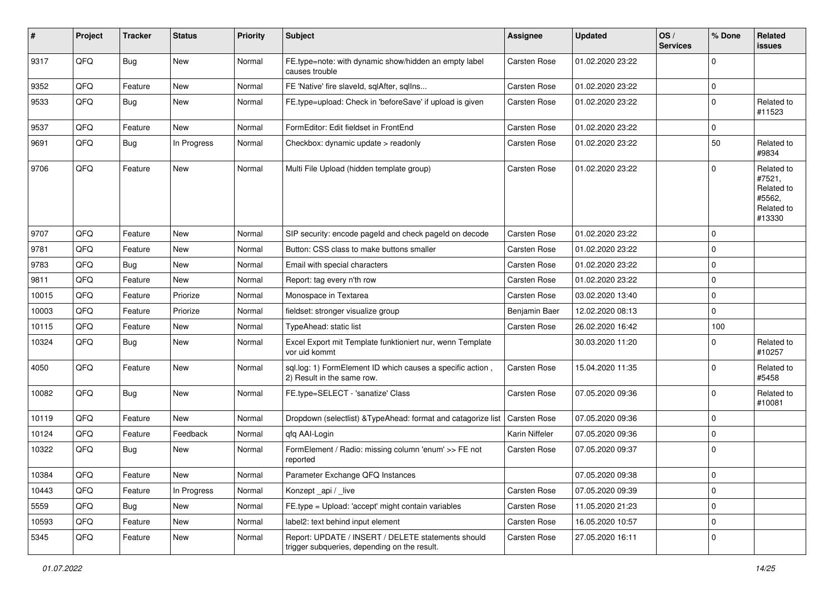| #     | Project | <b>Tracker</b> | <b>Status</b> | <b>Priority</b> | Subject                                                                                            | <b>Assignee</b>     | <b>Updated</b>   | OS/<br><b>Services</b> | % Done      | Related<br><b>issues</b>                                             |
|-------|---------|----------------|---------------|-----------------|----------------------------------------------------------------------------------------------------|---------------------|------------------|------------------------|-------------|----------------------------------------------------------------------|
| 9317  | QFQ     | Bug            | New           | Normal          | FE.type=note: with dynamic show/hidden an empty label<br>causes trouble                            | <b>Carsten Rose</b> | 01.02.2020 23:22 |                        | $\Omega$    |                                                                      |
| 9352  | QFQ     | Feature        | New           | Normal          | FE 'Native' fire slaveld, sqlAfter, sqlIns                                                         | <b>Carsten Rose</b> | 01.02.2020 23:22 |                        | $\mathbf 0$ |                                                                      |
| 9533  | QFQ     | <b>Bug</b>     | New           | Normal          | FE.type=upload: Check in 'beforeSave' if upload is given                                           | Carsten Rose        | 01.02.2020 23:22 |                        | $\Omega$    | Related to<br>#11523                                                 |
| 9537  | QFQ     | Feature        | <b>New</b>    | Normal          | FormEditor: Edit fieldset in FrontEnd                                                              | <b>Carsten Rose</b> | 01.02.2020 23:22 |                        | $\mathbf 0$ |                                                                      |
| 9691  | QFQ     | Bug            | In Progress   | Normal          | Checkbox: dynamic update > readonly                                                                | <b>Carsten Rose</b> | 01.02.2020 23:22 |                        | 50          | Related to<br>#9834                                                  |
| 9706  | QFQ     | Feature        | <b>New</b>    | Normal          | Multi File Upload (hidden template group)                                                          | <b>Carsten Rose</b> | 01.02.2020 23:22 |                        | $\mathbf 0$ | Related to<br>#7521,<br>Related to<br>#5562,<br>Related to<br>#13330 |
| 9707  | QFQ     | Feature        | New           | Normal          | SIP security: encode pageId and check pageId on decode                                             | <b>Carsten Rose</b> | 01.02.2020 23:22 |                        | $\mathbf 0$ |                                                                      |
| 9781  | QFQ     | Feature        | New           | Normal          | Button: CSS class to make buttons smaller                                                          | <b>Carsten Rose</b> | 01.02.2020 23:22 |                        | $\mathbf 0$ |                                                                      |
| 9783  | QFQ     | Bug            | New           | Normal          | Email with special characters                                                                      | Carsten Rose        | 01.02.2020 23:22 |                        | $\mathbf 0$ |                                                                      |
| 9811  | QFQ     | Feature        | New           | Normal          | Report: tag every n'th row                                                                         | <b>Carsten Rose</b> | 01.02.2020 23:22 |                        | $\mathbf 0$ |                                                                      |
| 10015 | QFQ     | Feature        | Priorize      | Normal          | Monospace in Textarea                                                                              | <b>Carsten Rose</b> | 03.02.2020 13:40 |                        | $\mathbf 0$ |                                                                      |
| 10003 | QFQ     | Feature        | Priorize      | Normal          | fieldset: stronger visualize group                                                                 | Benjamin Baer       | 12.02.2020 08:13 |                        | $\mathbf 0$ |                                                                      |
| 10115 | QFQ     | Feature        | New           | Normal          | TypeAhead: static list                                                                             | <b>Carsten Rose</b> | 26.02.2020 16:42 |                        | 100         |                                                                      |
| 10324 | QFQ     | Bug            | New           | Normal          | Excel Export mit Template funktioniert nur, wenn Template<br>vor uid kommt                         |                     | 30.03.2020 11:20 |                        | $\Omega$    | Related to<br>#10257                                                 |
| 4050  | QFQ     | Feature        | New           | Normal          | sql.log: 1) FormElement ID which causes a specific action,<br>2) Result in the same row.           | <b>Carsten Rose</b> | 15.04.2020 11:35 |                        | $\Omega$    | Related to<br>#5458                                                  |
| 10082 | QFQ     | <b>Bug</b>     | New           | Normal          | FE.type=SELECT - 'sanatize' Class                                                                  | <b>Carsten Rose</b> | 07.05.2020 09:36 |                        | $\mathbf 0$ | Related to<br>#10081                                                 |
| 10119 | QFQ     | Feature        | New           | Normal          | Dropdown (selectlist) & TypeAhead: format and catagorize list                                      | <b>Carsten Rose</b> | 07.05.2020 09:36 |                        | $\mathbf 0$ |                                                                      |
| 10124 | QFQ     | Feature        | Feedback      | Normal          | gfg AAI-Login                                                                                      | Karin Niffeler      | 07.05.2020 09:36 |                        | $\mathbf 0$ |                                                                      |
| 10322 | QFQ     | Bug            | New           | Normal          | FormElement / Radio: missing column 'enum' >> FE not<br>reported                                   | Carsten Rose        | 07.05.2020 09:37 |                        | $\Omega$    |                                                                      |
| 10384 | QFQ     | Feature        | New           | Normal          | Parameter Exchange QFQ Instances                                                                   |                     | 07.05.2020 09:38 |                        | l 0         |                                                                      |
| 10443 | QFQ     | Feature        | In Progress   | Normal          | Konzept_api / live                                                                                 | Carsten Rose        | 07.05.2020 09:39 |                        | $\mathbf 0$ |                                                                      |
| 5559  | QFQ     | Bug            | <b>New</b>    | Normal          | FE.type = Upload: 'accept' might contain variables                                                 | Carsten Rose        | 11.05.2020 21:23 |                        | $\mathbf 0$ |                                                                      |
| 10593 | QFQ     | Feature        | New           | Normal          | label2: text behind input element                                                                  | Carsten Rose        | 16.05.2020 10:57 |                        | $\mathbf 0$ |                                                                      |
| 5345  | QFQ     | Feature        | New           | Normal          | Report: UPDATE / INSERT / DELETE statements should<br>trigger subqueries, depending on the result. | Carsten Rose        | 27.05.2020 16:11 |                        | l 0         |                                                                      |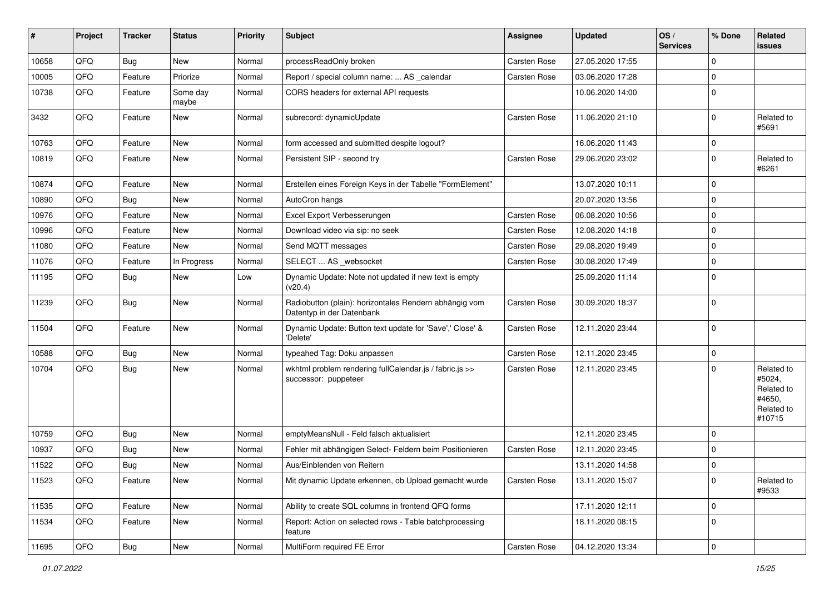| #     | Project | <b>Tracker</b> | <b>Status</b>     | <b>Priority</b> | <b>Subject</b>                                                                      | <b>Assignee</b> | <b>Updated</b>   | OS/<br><b>Services</b> | % Done      | Related<br>issues                                                    |
|-------|---------|----------------|-------------------|-----------------|-------------------------------------------------------------------------------------|-----------------|------------------|------------------------|-------------|----------------------------------------------------------------------|
| 10658 | QFQ     | Bug            | New               | Normal          | processReadOnly broken                                                              | Carsten Rose    | 27.05.2020 17:55 |                        | $\mathbf 0$ |                                                                      |
| 10005 | QFQ     | Feature        | Priorize          | Normal          | Report / special column name:  AS _calendar                                         | Carsten Rose    | 03.06.2020 17:28 |                        | 0           |                                                                      |
| 10738 | QFQ     | Feature        | Some day<br>maybe | Normal          | CORS headers for external API requests                                              |                 | 10.06.2020 14:00 |                        | $\mathbf 0$ |                                                                      |
| 3432  | QFQ     | Feature        | New               | Normal          | subrecord: dynamicUpdate                                                            | Carsten Rose    | 11.06.2020 21:10 |                        | 0           | Related to<br>#5691                                                  |
| 10763 | QFQ     | Feature        | New               | Normal          | form accessed and submitted despite logout?                                         |                 | 16.06.2020 11:43 |                        | 0           |                                                                      |
| 10819 | QFQ     | Feature        | New               | Normal          | Persistent SIP - second try                                                         | Carsten Rose    | 29.06.2020 23:02 |                        | 0           | Related to<br>#6261                                                  |
| 10874 | QFQ     | Feature        | New               | Normal          | Erstellen eines Foreign Keys in der Tabelle "FormElement"                           |                 | 13.07.2020 10:11 |                        | 0           |                                                                      |
| 10890 | QFQ     | <b>Bug</b>     | New               | Normal          | AutoCron hangs                                                                      |                 | 20.07.2020 13:56 |                        | 0           |                                                                      |
| 10976 | QFQ     | Feature        | New               | Normal          | Excel Export Verbesserungen                                                         | Carsten Rose    | 06.08.2020 10:56 |                        | 0           |                                                                      |
| 10996 | QFQ     | Feature        | New               | Normal          | Download video via sip: no seek                                                     | Carsten Rose    | 12.08.2020 14:18 |                        | 0           |                                                                      |
| 11080 | QFQ     | Feature        | New               | Normal          | Send MQTT messages                                                                  | Carsten Rose    | 29.08.2020 19:49 |                        | 0           |                                                                      |
| 11076 | QFQ     | Feature        | In Progress       | Normal          | SELECT  AS _websocket                                                               | Carsten Rose    | 30.08.2020 17:49 |                        | 0           |                                                                      |
| 11195 | QFQ     | Bug            | New               | Low             | Dynamic Update: Note not updated if new text is empty<br>(v20.4)                    |                 | 25.09.2020 11:14 |                        | $\mathbf 0$ |                                                                      |
| 11239 | QFQ     | <b>Bug</b>     | New               | Normal          | Radiobutton (plain): horizontales Rendern abhängig vom<br>Datentyp in der Datenbank | Carsten Rose    | 30.09.2020 18:37 |                        | 0           |                                                                      |
| 11504 | QFQ     | Feature        | New               | Normal          | Dynamic Update: Button text update for 'Save',' Close' &<br>'Delete'                | Carsten Rose    | 12.11.2020 23:44 |                        | 0           |                                                                      |
| 10588 | QFQ     | Bug            | New               | Normal          | typeahed Tag: Doku anpassen                                                         | Carsten Rose    | 12.11.2020 23:45 |                        | 0           |                                                                      |
| 10704 | QFQ     | <b>Bug</b>     | New               | Normal          | wkhtml problem rendering fullCalendar.js / fabric.js >><br>successor: puppeteer     | Carsten Rose    | 12.11.2020 23:45 |                        | 0           | Related to<br>#5024,<br>Related to<br>#4650,<br>Related to<br>#10715 |
| 10759 | QFQ     | <b>Bug</b>     | New               | Normal          | emptyMeansNull - Feld falsch aktualisiert                                           |                 | 12.11.2020 23:45 |                        | 0           |                                                                      |
| 10937 | QFQ     | <b>Bug</b>     | New               | Normal          | Fehler mit abhängigen Select- Feldern beim Positionieren                            | Carsten Rose    | 12.11.2020 23:45 |                        | 0           |                                                                      |
| 11522 | QFQ     | <b>Bug</b>     | New               | Normal          | Aus/Einblenden von Reitern                                                          |                 | 13.11.2020 14:58 |                        | 0           |                                                                      |
| 11523 | QFQ     | Feature        | New               | Normal          | Mit dynamic Update erkennen, ob Upload gemacht wurde                                | Carsten Rose    | 13.11.2020 15:07 |                        | 0           | Related to<br>#9533                                                  |
| 11535 | QFQ     | Feature        | New               | Normal          | Ability to create SQL columns in frontend QFQ forms                                 |                 | 17.11.2020 12:11 |                        | 0           |                                                                      |
| 11534 | QFQ     | Feature        | New               | Normal          | Report: Action on selected rows - Table batchprocessing<br>feature                  |                 | 18.11.2020 08:15 |                        | 0           |                                                                      |
| 11695 | QFG     | <b>Bug</b>     | New               | Normal          | MultiForm required FE Error                                                         | Carsten Rose    | 04.12.2020 13:34 |                        | 0           |                                                                      |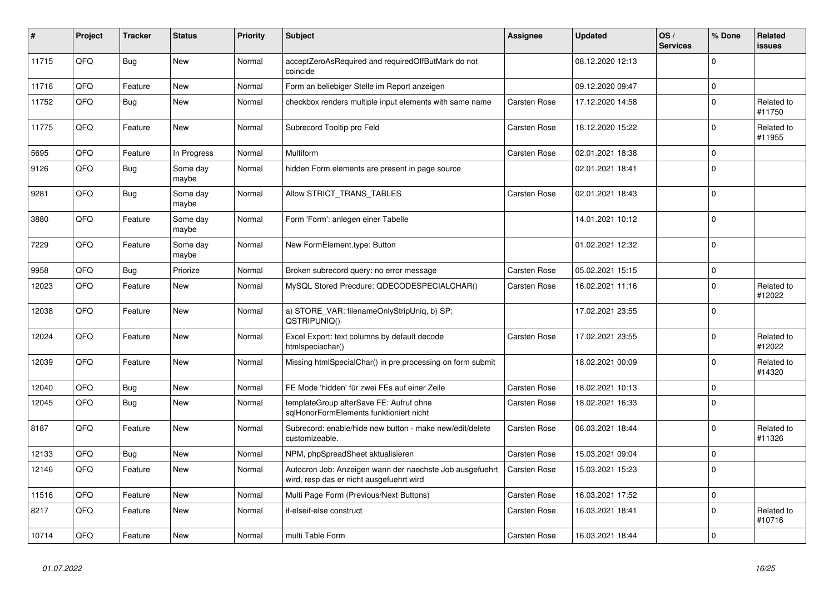| #     | Project | <b>Tracker</b> | <b>Status</b>     | <b>Priority</b> | <b>Subject</b>                                                                                       | Assignee            | <b>Updated</b>   | OS/<br><b>Services</b> | % Done      | Related<br>issues    |
|-------|---------|----------------|-------------------|-----------------|------------------------------------------------------------------------------------------------------|---------------------|------------------|------------------------|-------------|----------------------|
| 11715 | QFQ     | <b>Bug</b>     | <b>New</b>        | Normal          | acceptZeroAsRequired and requiredOffButMark do not<br>coincide                                       |                     | 08.12.2020 12:13 |                        | $\Omega$    |                      |
| 11716 | QFQ     | Feature        | New               | Normal          | Form an beliebiger Stelle im Report anzeigen                                                         |                     | 09.12.2020 09:47 |                        | $\mathbf 0$ |                      |
| 11752 | QFQ     | <b>Bug</b>     | New               | Normal          | checkbox renders multiple input elements with same name                                              | Carsten Rose        | 17.12.2020 14:58 |                        | $\Omega$    | Related to<br>#11750 |
| 11775 | QFQ     | Feature        | New               | Normal          | Subrecord Tooltip pro Feld                                                                           | Carsten Rose        | 18.12.2020 15:22 |                        | $\Omega$    | Related to<br>#11955 |
| 5695  | QFQ     | Feature        | In Progress       | Normal          | Multiform                                                                                            | Carsten Rose        | 02.01.2021 18:38 |                        | $\Omega$    |                      |
| 9126  | QFQ     | <b>Bug</b>     | Some day<br>maybe | Normal          | hidden Form elements are present in page source                                                      |                     | 02.01.2021 18:41 |                        | $\Omega$    |                      |
| 9281  | QFQ     | <b>Bug</b>     | Some day<br>maybe | Normal          | Allow STRICT_TRANS_TABLES                                                                            | Carsten Rose        | 02.01.2021 18:43 |                        | $\Omega$    |                      |
| 3880  | QFQ     | Feature        | Some day<br>maybe | Normal          | Form 'Form': anlegen einer Tabelle                                                                   |                     | 14.01.2021 10:12 |                        | $\Omega$    |                      |
| 7229  | QFQ     | Feature        | Some day<br>maybe | Normal          | New FormElement.type: Button                                                                         |                     | 01.02.2021 12:32 |                        | $\Omega$    |                      |
| 9958  | QFQ     | Bug            | Priorize          | Normal          | Broken subrecord query: no error message                                                             | Carsten Rose        | 05.02.2021 15:15 |                        | $\Omega$    |                      |
| 12023 | QFQ     | Feature        | <b>New</b>        | Normal          | MySQL Stored Precdure: QDECODESPECIALCHAR()                                                          | <b>Carsten Rose</b> | 16.02.2021 11:16 |                        | $\Omega$    | Related to<br>#12022 |
| 12038 | QFQ     | Feature        | <b>New</b>        | Normal          | a) STORE_VAR: filenameOnlyStripUniq, b) SP:<br>QSTRIPUNIQ()                                          |                     | 17.02.2021 23:55 |                        | $\Omega$    |                      |
| 12024 | QFQ     | Feature        | New               | Normal          | Excel Export: text columns by default decode<br>htmlspeciachar()                                     | Carsten Rose        | 17.02.2021 23:55 |                        | $\Omega$    | Related to<br>#12022 |
| 12039 | QFQ     | Feature        | New               | Normal          | Missing htmlSpecialChar() in pre processing on form submit                                           |                     | 18.02.2021 00:09 |                        | $\Omega$    | Related to<br>#14320 |
| 12040 | QFQ     | <b>Bug</b>     | <b>New</b>        | Normal          | FE Mode 'hidden' für zwei FEs auf einer Zeile                                                        | Carsten Rose        | 18.02.2021 10:13 |                        | $\Omega$    |                      |
| 12045 | QFQ     | <b>Bug</b>     | <b>New</b>        | Normal          | templateGroup afterSave FE: Aufruf ohne<br>sqlHonorFormElements funktioniert nicht                   | Carsten Rose        | 18.02.2021 16:33 |                        | $\Omega$    |                      |
| 8187  | QFQ     | Feature        | New               | Normal          | Subrecord: enable/hide new button - make new/edit/delete<br>customizeable.                           | Carsten Rose        | 06.03.2021 18:44 |                        | $\Omega$    | Related to<br>#11326 |
| 12133 | QFQ     | <b>Bug</b>     | <b>New</b>        | Normal          | NPM, phpSpreadSheet aktualisieren                                                                    | Carsten Rose        | 15.03.2021 09:04 |                        | 0 I         |                      |
| 12146 | QFQ     | Feature        | New               | Normal          | Autocron Job: Anzeigen wann der naechste Job ausgefuehrt<br>wird, resp das er nicht ausgefuehrt wird | Carsten Rose        | 15.03.2021 15:23 |                        | $\Omega$    |                      |
| 11516 | QFQ     | Feature        | <b>New</b>        | Normal          | Multi Page Form (Previous/Next Buttons)                                                              | <b>Carsten Rose</b> | 16.03.2021 17:52 |                        | $\Omega$    |                      |
| 8217  | QFQ     | Feature        | New               | Normal          | if-elseif-else construct                                                                             | Carsten Rose        | 16.03.2021 18:41 |                        | $\Omega$    | Related to<br>#10716 |
| 10714 | QFQ     | Feature        | New               | Normal          | multi Table Form                                                                                     | Carsten Rose        | 16.03.2021 18:44 |                        | $\Omega$    |                      |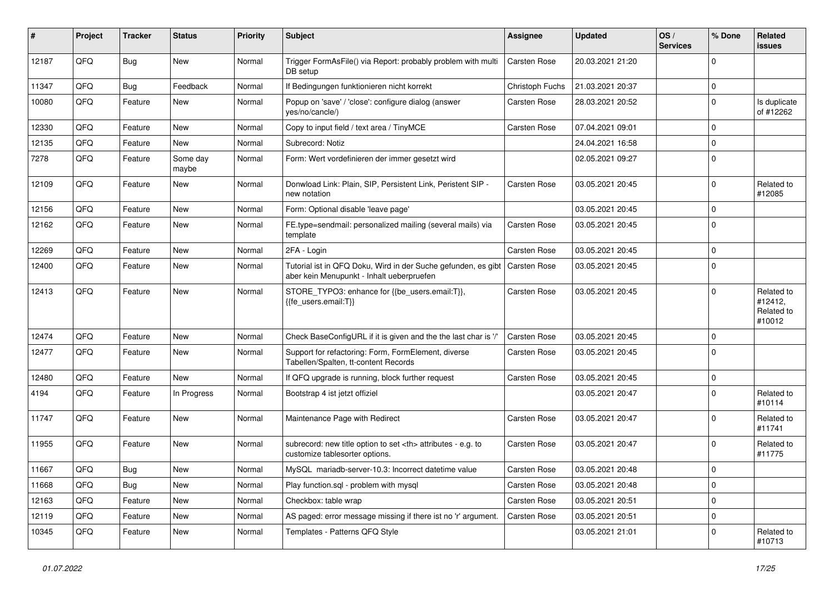| #     | Project | <b>Tracker</b> | <b>Status</b>     | <b>Priority</b> | Subject                                                                                                    | <b>Assignee</b>                                        | <b>Updated</b>   | OS/<br><b>Services</b> | % Done      | Related<br>issues                             |                      |
|-------|---------|----------------|-------------------|-----------------|------------------------------------------------------------------------------------------------------------|--------------------------------------------------------|------------------|------------------------|-------------|-----------------------------------------------|----------------------|
| 12187 | QFQ     | <b>Bug</b>     | New               | Normal          | Trigger FormAsFile() via Report: probably problem with multi<br>DB setup                                   | <b>Carsten Rose</b>                                    | 20.03.2021 21:20 |                        | $\Omega$    |                                               |                      |
| 11347 | QFQ     | <b>Bug</b>     | Feedback          | Normal          | If Bedingungen funktionieren nicht korrekt                                                                 | Christoph Fuchs                                        | 21.03.2021 20:37 |                        | $\mathbf 0$ |                                               |                      |
| 10080 | QFQ     | Feature        | New               | Normal          | Popup on 'save' / 'close': configure dialog (answer<br>yes/no/cancle/)                                     | Carsten Rose                                           | 28.03.2021 20:52 |                        | $\Omega$    | Is duplicate<br>of #12262                     |                      |
| 12330 | QFQ     | Feature        | New               | Normal          | Copy to input field / text area / TinyMCE                                                                  | Carsten Rose                                           | 07.04.2021 09:01 |                        | $\Omega$    |                                               |                      |
| 12135 | QFQ     | Feature        | New               | Normal          | Subrecord: Notiz                                                                                           |                                                        | 24.04.2021 16:58 |                        | $\Omega$    |                                               |                      |
| 7278  | QFQ     | Feature        | Some day<br>maybe | Normal          | Form: Wert vordefinieren der immer gesetzt wird                                                            |                                                        | 02.05.2021 09:27 |                        | $\Omega$    |                                               |                      |
| 12109 | QFQ     | Feature        | New               | Normal          | Donwload Link: Plain, SIP, Persistent Link, Peristent SIP -<br>new notation                                | Carsten Rose                                           | 03.05.2021 20:45 |                        | $\Omega$    | Related to<br>#12085                          |                      |
| 12156 | QFQ     | Feature        | New               | Normal          | Form: Optional disable 'leave page'                                                                        |                                                        | 03.05.2021 20:45 |                        | $\mathbf 0$ |                                               |                      |
| 12162 | QFQ     | Feature        | New               | Normal          | FE.type=sendmail: personalized mailing (several mails) via<br>template                                     | <b>Carsten Rose</b>                                    | 03.05.2021 20:45 |                        | $\Omega$    |                                               |                      |
| 12269 | QFQ     | Feature        | New               | Normal          | 2FA - Login                                                                                                | Carsten Rose                                           | 03.05.2021 20:45 |                        | $\Omega$    |                                               |                      |
| 12400 | QFQ     | Feature        | New               | Normal          | Tutorial ist in QFQ Doku, Wird in der Suche gefunden, es gibt<br>aber kein Menupunkt - Inhalt ueberpruefen | Carsten Rose                                           | 03.05.2021 20:45 |                        | $\Omega$    |                                               |                      |
| 12413 | QFQ     | Feature        | New               | Normal          | STORE_TYPO3: enhance for {{be_users.email:T}},<br>{{fe users.email:T}}                                     | Carsten Rose                                           | 03.05.2021 20:45 |                        | $\Omega$    | Related to<br>#12412,<br>Related to<br>#10012 |                      |
| 12474 | QFQ     | Feature        | New               | Normal          | Check BaseConfigURL if it is given and the the last char is '/'                                            | <b>Carsten Rose</b>                                    | 03.05.2021 20:45 |                        | $\mathbf 0$ |                                               |                      |
| 12477 | QFQ     | Feature        | New               | Normal          | Support for refactoring: Form, FormElement, diverse<br>Tabellen/Spalten, tt-content Records                | Carsten Rose                                           | 03.05.2021 20:45 |                        | $\Omega$    |                                               |                      |
| 12480 | QFQ     | Feature        | New               | Normal          | If QFQ upgrade is running, block further request                                                           | Carsten Rose                                           | 03.05.2021 20:45 |                        | $\mathbf 0$ |                                               |                      |
| 4194  | QFQ     | Feature        | In Progress       | Normal          | Bootstrap 4 ist jetzt offiziel                                                                             |                                                        | 03.05.2021 20:47 |                        | $\Omega$    | Related to<br>#10114                          |                      |
| 11747 | QFQ     | Feature        | New               | Normal          | Maintenance Page with Redirect                                                                             | Carsten Rose                                           | 03.05.2021 20:47 |                        | 0           | Related to<br>#11741                          |                      |
| 11955 | QFQ     | Feature        | New               | Normal          | subrecord: new title option to set <th> attributes - e.g. to<br/>customize tablesorter options.</th>       | attributes - e.g. to<br>customize tablesorter options. | Carsten Rose     | 03.05.2021 20:47       |             | $\Omega$                                      | Related to<br>#11775 |
| 11667 | QFQ     | Bug            | New               | Normal          | MySQL mariadb-server-10.3: Incorrect datetime value                                                        | Carsten Rose                                           | 03.05.2021 20:48 |                        | ۱n          |                                               |                      |
| 11668 | QFQ     | <b>Bug</b>     | New               | Normal          | Play function.sql - problem with mysql                                                                     | Carsten Rose                                           | 03.05.2021 20:48 |                        | l o         |                                               |                      |
| 12163 | QFQ     | Feature        | New               | Normal          | Checkbox: table wrap                                                                                       | Carsten Rose                                           | 03.05.2021 20:51 |                        | $\mathbf 0$ |                                               |                      |
| 12119 | QFQ     | Feature        | New               | Normal          | AS paged: error message missing if there ist no 'r' argument.                                              | Carsten Rose                                           | 03.05.2021 20:51 |                        | $\mathbf 0$ |                                               |                      |
| 10345 | QFQ     | Feature        | New               | Normal          | Templates - Patterns QFQ Style                                                                             |                                                        | 03.05.2021 21:01 |                        | 0           | Related to<br>#10713                          |                      |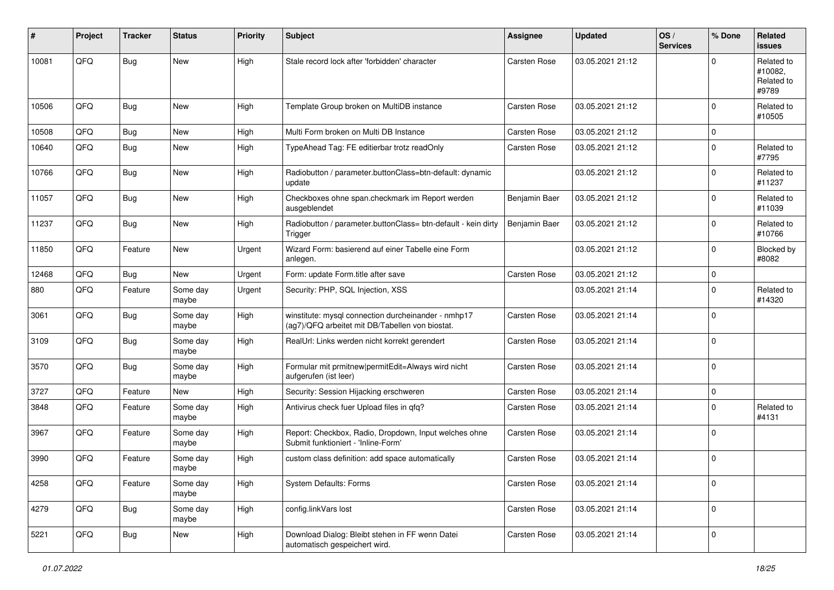| #     | Project | <b>Tracker</b> | <b>Status</b>     | <b>Priority</b> | <b>Subject</b>                                                                                         | <b>Assignee</b>     | <b>Updated</b>   | OS/<br><b>Services</b> | % Done      | Related<br><b>issues</b>                     |
|-------|---------|----------------|-------------------|-----------------|--------------------------------------------------------------------------------------------------------|---------------------|------------------|------------------------|-------------|----------------------------------------------|
| 10081 | QFQ     | Bug            | New               | High            | Stale record lock after 'forbidden' character                                                          | <b>Carsten Rose</b> | 03.05.2021 21:12 |                        | $\Omega$    | Related to<br>#10082,<br>Related to<br>#9789 |
| 10506 | QFQ     | <b>Bug</b>     | <b>New</b>        | High            | Template Group broken on MultiDB instance                                                              | <b>Carsten Rose</b> | 03.05.2021 21:12 |                        | $\Omega$    | Related to<br>#10505                         |
| 10508 | QFQ     | Bug            | <b>New</b>        | High            | Multi Form broken on Multi DB Instance                                                                 | <b>Carsten Rose</b> | 03.05.2021 21:12 |                        | $\mathbf 0$ |                                              |
| 10640 | QFQ     | <b>Bug</b>     | New               | High            | TypeAhead Tag: FE editierbar trotz readOnly                                                            | Carsten Rose        | 03.05.2021 21:12 |                        | $\Omega$    | Related to<br>#7795                          |
| 10766 | QFQ     | <b>Bug</b>     | New               | High            | Radiobutton / parameter.buttonClass=btn-default: dynamic<br>update                                     |                     | 03.05.2021 21:12 |                        | $\mathbf 0$ | Related to<br>#11237                         |
| 11057 | QFQ     | <b>Bug</b>     | <b>New</b>        | High            | Checkboxes ohne span.checkmark im Report werden<br>ausgeblendet                                        | Benjamin Baer       | 03.05.2021 21:12 |                        | $\Omega$    | Related to<br>#11039                         |
| 11237 | QFQ     | <b>Bug</b>     | New               | High            | Radiobutton / parameter.buttonClass= btn-default - kein dirty<br>Trigger                               | Benjamin Baer       | 03.05.2021 21:12 |                        | $\Omega$    | Related to<br>#10766                         |
| 11850 | QFQ     | Feature        | New               | Urgent          | Wizard Form: basierend auf einer Tabelle eine Form<br>anlegen.                                         |                     | 03.05.2021 21:12 |                        | $\Omega$    | Blocked by<br>#8082                          |
| 12468 | QFQ     | Bug            | New               | Urgent          | Form: update Form.title after save                                                                     | <b>Carsten Rose</b> | 03.05.2021 21:12 |                        | $\mathbf 0$ |                                              |
| 880   | QFQ     | Feature        | Some day<br>maybe | Urgent          | Security: PHP, SQL Injection, XSS                                                                      |                     | 03.05.2021 21:14 |                        | $\Omega$    | Related to<br>#14320                         |
| 3061  | QFQ     | Bug            | Some day<br>maybe | High            | winstitute: mysql connection durcheinander - nmhp17<br>(ag7)/QFQ arbeitet mit DB/Tabellen von biostat. | Carsten Rose        | 03.05.2021 21:14 |                        | $\Omega$    |                                              |
| 3109  | QFQ     | <b>Bug</b>     | Some day<br>maybe | High            | RealUrl: Links werden nicht korrekt gerendert                                                          | Carsten Rose        | 03.05.2021 21:14 |                        | $\Omega$    |                                              |
| 3570  | QFQ     | <b>Bug</b>     | Some day<br>maybe | High            | Formular mit prmitnew   permitEdit=Always wird nicht<br>aufgerufen (ist leer)                          | <b>Carsten Rose</b> | 03.05.2021 21:14 |                        | $\Omega$    |                                              |
| 3727  | QFQ     | Feature        | New               | High            | Security: Session Hijacking erschweren                                                                 | <b>Carsten Rose</b> | 03.05.2021 21:14 |                        | $\mathbf 0$ |                                              |
| 3848  | QFQ     | Feature        | Some day<br>maybe | High            | Antivirus check fuer Upload files in qfq?                                                              | Carsten Rose        | 03.05.2021 21:14 |                        | $\Omega$    | Related to<br>#4131                          |
| 3967  | QFQ     | Feature        | Some day<br>maybe | High            | Report: Checkbox, Radio, Dropdown, Input welches ohne<br>Submit funktioniert - 'Inline-Form'           | Carsten Rose        | 03.05.2021 21:14 |                        | $\Omega$    |                                              |
| 3990  | QFQ     | Feature        | Some day<br>maybe | High            | custom class definition: add space automatically                                                       | Carsten Rose        | 03.05.2021 21:14 |                        | $\Omega$    |                                              |
| 4258  | QFQ     | Feature        | Some day<br>maybe | High            | <b>System Defaults: Forms</b>                                                                          | Carsten Rose        | 03.05.2021 21:14 |                        | l o         |                                              |
| 4279  | QFQ     | <b>Bug</b>     | Some day<br>maybe | High            | config.linkVars lost                                                                                   | Carsten Rose        | 03.05.2021 21:14 |                        | $\Omega$    |                                              |
| 5221  | QFQ     | <b>Bug</b>     | New               | High            | Download Dialog: Bleibt stehen in FF wenn Datei<br>automatisch gespeichert wird.                       | Carsten Rose        | 03.05.2021 21:14 |                        | $\mathbf 0$ |                                              |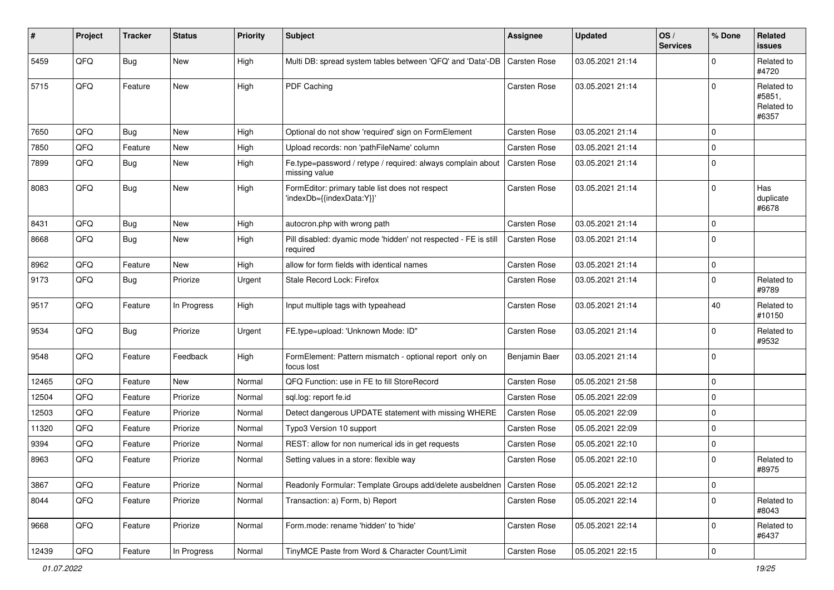| ∦     | Project        | <b>Tracker</b> | <b>Status</b> | <b>Priority</b> | <b>Subject</b>                                                               | <b>Assignee</b>     | <b>Updated</b>   | OS/<br><b>Services</b> | % Done      | Related<br>issues                           |
|-------|----------------|----------------|---------------|-----------------|------------------------------------------------------------------------------|---------------------|------------------|------------------------|-------------|---------------------------------------------|
| 5459  | QFQ            | Bug            | <b>New</b>    | High            | Multi DB: spread system tables between 'QFQ' and 'Data'-DB                   | <b>Carsten Rose</b> | 03.05.2021 21:14 |                        | $\Omega$    | Related to<br>#4720                         |
| 5715  | QFQ            | Feature        | New           | High            | PDF Caching                                                                  | <b>Carsten Rose</b> | 03.05.2021 21:14 |                        | $\Omega$    | Related to<br>#5851,<br>Related to<br>#6357 |
| 7650  | QFQ            | <b>Bug</b>     | <b>New</b>    | High            | Optional do not show 'required' sign on FormElement                          | Carsten Rose        | 03.05.2021 21:14 |                        | $\Omega$    |                                             |
| 7850  | QFQ            | Feature        | New           | High            | Upload records: non 'pathFileName' column                                    | Carsten Rose        | 03.05.2021 21:14 |                        | $\Omega$    |                                             |
| 7899  | QFQ            | <b>Bug</b>     | New           | High            | Fe.type=password / retype / required: always complain about<br>missing value | <b>Carsten Rose</b> | 03.05.2021 21:14 |                        | $\Omega$    |                                             |
| 8083  | QFQ            | <b>Bug</b>     | New           | High            | FormEditor: primary table list does not respect<br>'indexDb={{indexData:Y}}' | Carsten Rose        | 03.05.2021 21:14 |                        | $\Omega$    | Has<br>duplicate<br>#6678                   |
| 8431  | QFQ            | <b>Bug</b>     | <b>New</b>    | High            | autocron.php with wrong path                                                 | Carsten Rose        | 03.05.2021 21:14 |                        | $\Omega$    |                                             |
| 8668  | QFQ            | <b>Bug</b>     | New           | High            | Pill disabled: dyamic mode 'hidden' not respected - FE is still<br>required  | <b>Carsten Rose</b> | 03.05.2021 21:14 |                        | $\Omega$    |                                             |
| 8962  | QFQ            | Feature        | New           | High            | allow for form fields with identical names                                   | Carsten Rose        | 03.05.2021 21:14 |                        | 0           |                                             |
| 9173  | QFQ            | Bug            | Priorize      | Urgent          | Stale Record Lock: Firefox                                                   | Carsten Rose        | 03.05.2021 21:14 |                        | $\Omega$    | Related to<br>#9789                         |
| 9517  | QFQ            | Feature        | In Progress   | High            | Input multiple tags with typeahead                                           | Carsten Rose        | 03.05.2021 21:14 |                        | 40          | Related to<br>#10150                        |
| 9534  | QFQ            | <b>Bug</b>     | Priorize      | Urgent          | FE.type=upload: 'Unknown Mode: ID"                                           | Carsten Rose        | 03.05.2021 21:14 |                        | $\Omega$    | Related to<br>#9532                         |
| 9548  | QFQ            | Feature        | Feedback      | High            | FormElement: Pattern mismatch - optional report only on<br>focus lost        | Benjamin Baer       | 03.05.2021 21:14 |                        | $\Omega$    |                                             |
| 12465 | QFQ            | Feature        | New           | Normal          | QFQ Function: use in FE to fill StoreRecord                                  | Carsten Rose        | 05.05.2021 21:58 |                        | $\mathbf 0$ |                                             |
| 12504 | QFQ            | Feature        | Priorize      | Normal          | sql.log: report fe.id                                                        | Carsten Rose        | 05.05.2021 22:09 |                        | $\Omega$    |                                             |
| 12503 | QFQ            | Feature        | Priorize      | Normal          | Detect dangerous UPDATE statement with missing WHERE                         | Carsten Rose        | 05.05.2021 22:09 |                        | $\mathbf 0$ |                                             |
| 11320 | QFQ            | Feature        | Priorize      | Normal          | Typo3 Version 10 support                                                     | Carsten Rose        | 05.05.2021 22:09 |                        | $\mathbf 0$ |                                             |
| 9394  | QFQ            | Feature        | Priorize      | Normal          | REST: allow for non numerical ids in get requests                            | Carsten Rose        | 05.05.2021 22:10 |                        | $\mathbf 0$ |                                             |
| 8963  | QFQ            | Feature        | Priorize      | Normal          | Setting values in a store: flexible way                                      | Carsten Rose        | 05.05.2021 22:10 |                        | $\Omega$    | Related to<br>#8975                         |
| 3867  | QFQ            | Feature        | Priorize      | Normal          | Readonly Formular: Template Groups add/delete ausbeldnen                     | <b>Carsten Rose</b> | 05.05.2021 22:12 |                        | 0           |                                             |
| 8044  | QFQ            | Feature        | Priorize      | Normal          | Transaction: a) Form, b) Report                                              | Carsten Rose        | 05.05.2021 22:14 |                        | 0           | Related to<br>#8043                         |
| 9668  | QFQ            | Feature        | Priorize      | Normal          | Form.mode: rename 'hidden' to 'hide'                                         | Carsten Rose        | 05.05.2021 22:14 |                        | $\mathbf 0$ | Related to<br>#6437                         |
| 12439 | $\mathsf{QFQ}$ | Feature        | In Progress   | Normal          | TinyMCE Paste from Word & Character Count/Limit                              | Carsten Rose        | 05.05.2021 22:15 |                        | $\mathbf 0$ |                                             |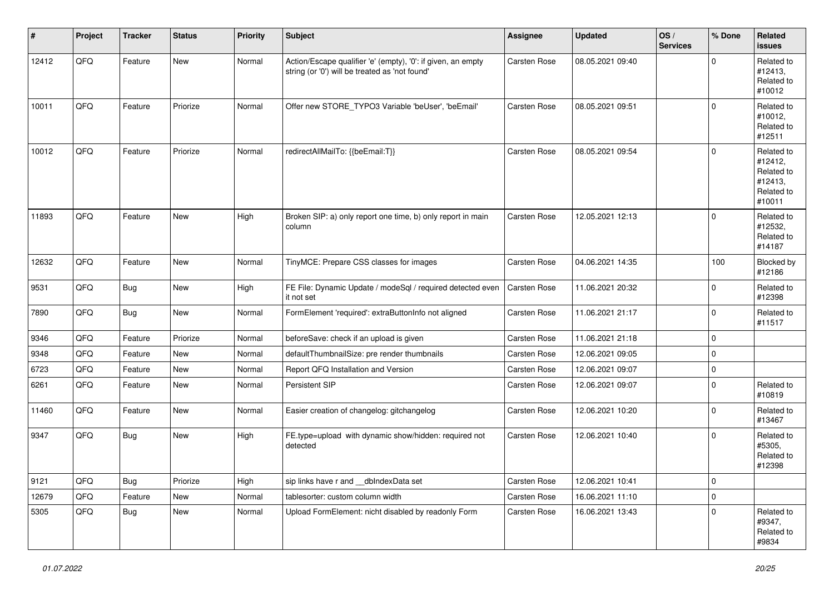| $\vert$ # | Project | <b>Tracker</b> | <b>Status</b> | <b>Priority</b> | <b>Subject</b>                                                                                                 | <b>Assignee</b>     | <b>Updated</b>   | OS/<br><b>Services</b> | % Done      | Related<br><b>issues</b>                                               |
|-----------|---------|----------------|---------------|-----------------|----------------------------------------------------------------------------------------------------------------|---------------------|------------------|------------------------|-------------|------------------------------------------------------------------------|
| 12412     | QFQ     | Feature        | New           | Normal          | Action/Escape qualifier 'e' (empty), '0': if given, an empty<br>string (or '0') will be treated as 'not found' | Carsten Rose        | 08.05.2021 09:40 |                        | $\Omega$    | Related to<br>#12413,<br>Related to<br>#10012                          |
| 10011     | QFQ     | Feature        | Priorize      | Normal          | Offer new STORE_TYPO3 Variable 'beUser', 'beEmail'                                                             | Carsten Rose        | 08.05.2021 09:51 |                        | $\Omega$    | Related to<br>#10012,<br>Related to<br>#12511                          |
| 10012     | QFQ     | Feature        | Priorize      | Normal          | redirectAllMailTo: {{beEmail:T}}                                                                               | <b>Carsten Rose</b> | 08.05.2021 09:54 |                        | $\mathbf 0$ | Related to<br>#12412,<br>Related to<br>#12413,<br>Related to<br>#10011 |
| 11893     | QFQ     | Feature        | New           | High            | Broken SIP: a) only report one time, b) only report in main<br>column                                          | <b>Carsten Rose</b> | 12.05.2021 12:13 |                        | $\Omega$    | Related to<br>#12532,<br>Related to<br>#14187                          |
| 12632     | QFQ     | Feature        | New           | Normal          | TinyMCE: Prepare CSS classes for images                                                                        | Carsten Rose        | 04.06.2021 14:35 |                        | 100         | Blocked by<br>#12186                                                   |
| 9531      | QFQ     | <b>Bug</b>     | New           | High            | FE File: Dynamic Update / modeSql / required detected even<br>it not set                                       | <b>Carsten Rose</b> | 11.06.2021 20:32 |                        | $\mathbf 0$ | Related to<br>#12398                                                   |
| 7890      | QFQ     | <b>Bug</b>     | New           | Normal          | FormElement 'required': extraButtonInfo not aligned                                                            | Carsten Rose        | 11.06.2021 21:17 |                        | $\mathbf 0$ | Related to<br>#11517                                                   |
| 9346      | QFQ     | Feature        | Priorize      | Normal          | beforeSave: check if an upload is given                                                                        | Carsten Rose        | 11.06.2021 21:18 |                        | $\mathbf 0$ |                                                                        |
| 9348      | QFQ     | Feature        | New           | Normal          | defaultThumbnailSize: pre render thumbnails                                                                    | Carsten Rose        | 12.06.2021 09:05 |                        | $\mathbf 0$ |                                                                        |
| 6723      | QFQ     | Feature        | New           | Normal          | Report QFQ Installation and Version                                                                            | Carsten Rose        | 12.06.2021 09:07 |                        | $\mathbf 0$ |                                                                        |
| 6261      | QFQ     | Feature        | New           | Normal          | Persistent SIP                                                                                                 | Carsten Rose        | 12.06.2021 09:07 |                        | $\Omega$    | Related to<br>#10819                                                   |
| 11460     | QFQ     | Feature        | New           | Normal          | Easier creation of changelog: gitchangelog                                                                     | Carsten Rose        | 12.06.2021 10:20 |                        | $\mathbf 0$ | Related to<br>#13467                                                   |
| 9347      | QFQ     | <b>Bug</b>     | New           | High            | FE.type=upload with dynamic show/hidden: required not<br>detected                                              | <b>Carsten Rose</b> | 12.06.2021 10:40 |                        | $\mathbf 0$ | Related to<br>#5305,<br>Related to<br>#12398                           |
| 9121      | QFQ     | Bug            | Priorize      | High            | sip links have r and __dbIndexData set                                                                         | Carsten Rose        | 12.06.2021 10:41 |                        | $\mathsf 0$ |                                                                        |
| 12679     | QFQ     | Feature        | New           | Normal          | tablesorter: custom column width                                                                               | Carsten Rose        | 16.06.2021 11:10 |                        | $\mathbf 0$ |                                                                        |
| 5305      | QFQ     | <b>Bug</b>     | New           | Normal          | Upload FormElement: nicht disabled by readonly Form                                                            | Carsten Rose        | 16.06.2021 13:43 |                        | $\mathbf 0$ | Related to<br>#9347,<br>Related to<br>#9834                            |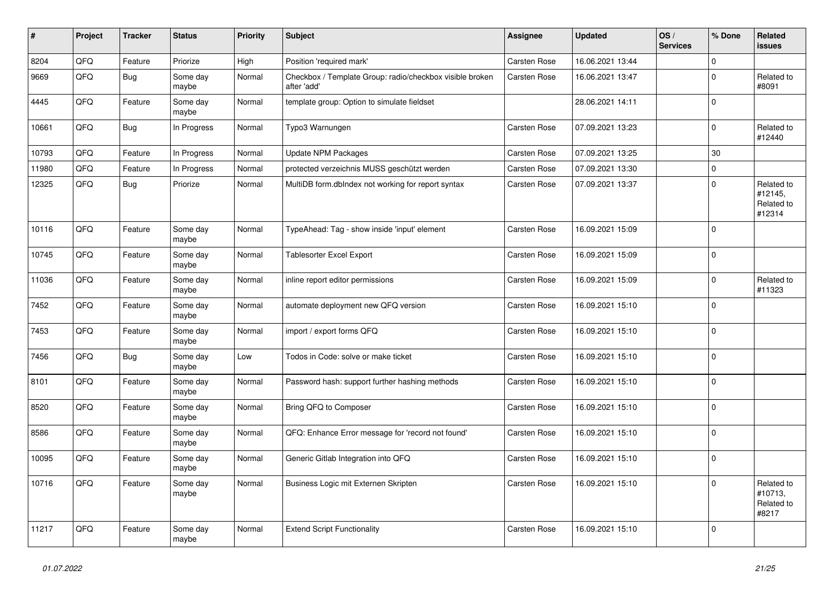| #     | Project | <b>Tracker</b> | <b>Status</b>     | <b>Priority</b> | <b>Subject</b>                                                          | <b>Assignee</b>     | <b>Updated</b>   | OS/<br><b>Services</b> | % Done         | Related<br><b>issues</b>                      |
|-------|---------|----------------|-------------------|-----------------|-------------------------------------------------------------------------|---------------------|------------------|------------------------|----------------|-----------------------------------------------|
| 8204  | QFQ     | Feature        | Priorize          | High            | Position 'required mark'                                                | <b>Carsten Rose</b> | 16.06.2021 13:44 |                        | $\Omega$       |                                               |
| 9669  | QFQ     | <b>Bug</b>     | Some day<br>maybe | Normal          | Checkbox / Template Group: radio/checkbox visible broken<br>after 'add' | Carsten Rose        | 16.06.2021 13:47 |                        | $\Omega$       | Related to<br>#8091                           |
| 4445  | QFQ     | Feature        | Some day<br>maybe | Normal          | template group: Option to simulate fieldset                             |                     | 28.06.2021 14:11 |                        | $\overline{0}$ |                                               |
| 10661 | QFQ     | <b>Bug</b>     | In Progress       | Normal          | Typo3 Warnungen                                                         | <b>Carsten Rose</b> | 07.09.2021 13:23 |                        | $\mathbf 0$    | Related to<br>#12440                          |
| 10793 | QFQ     | Feature        | In Progress       | Normal          | Update NPM Packages                                                     | <b>Carsten Rose</b> | 07.09.2021 13:25 |                        | 30             |                                               |
| 11980 | QFQ     | Feature        | In Progress       | Normal          | protected verzeichnis MUSS geschützt werden                             | <b>Carsten Rose</b> | 07.09.2021 13:30 |                        | $\Omega$       |                                               |
| 12325 | QFQ     | <b>Bug</b>     | Priorize          | Normal          | MultiDB form.dblndex not working for report syntax                      | Carsten Rose        | 07.09.2021 13:37 |                        | $\Omega$       | Related to<br>#12145,<br>Related to<br>#12314 |
| 10116 | QFQ     | Feature        | Some day<br>maybe | Normal          | TypeAhead: Tag - show inside 'input' element                            | <b>Carsten Rose</b> | 16.09.2021 15:09 |                        | $\Omega$       |                                               |
| 10745 | QFQ     | Feature        | Some day<br>maybe | Normal          | Tablesorter Excel Export                                                | Carsten Rose        | 16.09.2021 15:09 |                        | $\Omega$       |                                               |
| 11036 | QFQ     | Feature        | Some day<br>maybe | Normal          | inline report editor permissions                                        | <b>Carsten Rose</b> | 16.09.2021 15:09 |                        | $\Omega$       | Related to<br>#11323                          |
| 7452  | QFQ     | Feature        | Some day<br>maybe | Normal          | automate deployment new QFQ version                                     | Carsten Rose        | 16.09.2021 15:10 |                        | $\Omega$       |                                               |
| 7453  | QFQ     | Feature        | Some day<br>maybe | Normal          | import / export forms QFQ                                               | <b>Carsten Rose</b> | 16.09.2021 15:10 |                        | $\Omega$       |                                               |
| 7456  | QFQ     | <b>Bug</b>     | Some day<br>maybe | Low             | Todos in Code: solve or make ticket                                     | Carsten Rose        | 16.09.2021 15:10 |                        | $\Omega$       |                                               |
| 8101  | QFQ     | Feature        | Some day<br>maybe | Normal          | Password hash: support further hashing methods                          | Carsten Rose        | 16.09.2021 15:10 |                        | $\Omega$       |                                               |
| 8520  | QFQ     | Feature        | Some day<br>maybe | Normal          | Bring QFQ to Composer                                                   | Carsten Rose        | 16.09.2021 15:10 |                        | $\Omega$       |                                               |
| 8586  | QFQ     | Feature        | Some day<br>maybe | Normal          | QFQ: Enhance Error message for 'record not found'                       | Carsten Rose        | 16.09.2021 15:10 |                        | $\Omega$       |                                               |
| 10095 | QFQ     | Feature        | Some day<br>maybe | Normal          | Generic Gitlab Integration into QFQ                                     | Carsten Rose        | 16.09.2021 15:10 |                        | $\Omega$       |                                               |
| 10716 | QFQ     | Feature        | Some day<br>maybe | Normal          | Business Logic mit Externen Skripten                                    | <b>Carsten Rose</b> | 16.09.2021 15:10 |                        | $\Omega$       | Related to<br>#10713,<br>Related to<br>#8217  |
| 11217 | QFQ     | Feature        | Some day<br>maybe | Normal          | <b>Extend Script Functionality</b>                                      | <b>Carsten Rose</b> | 16.09.2021 15:10 |                        | $\overline{0}$ |                                               |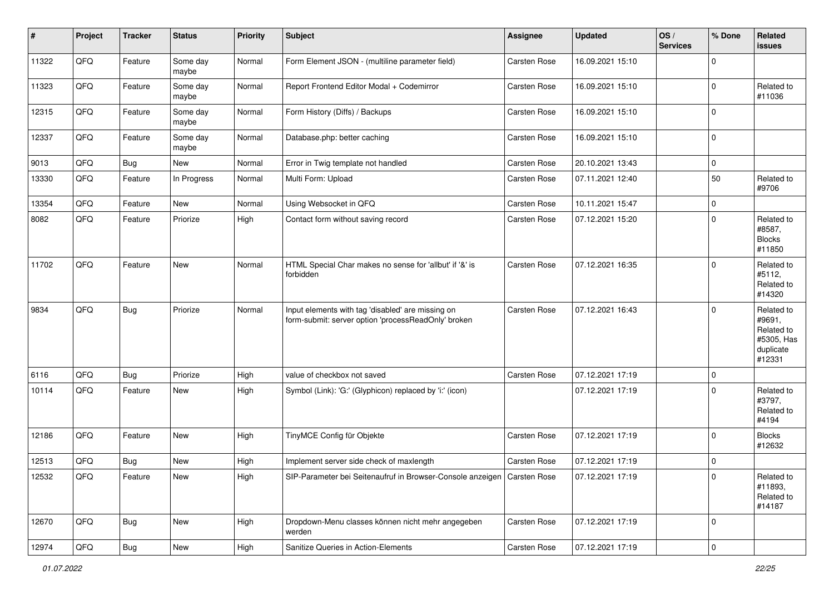| #     | Project | <b>Tracker</b> | <b>Status</b>     | <b>Priority</b> | Subject                                                                                                  | Assignee            | <b>Updated</b>   | OS/<br><b>Services</b> | % Done              | Related<br>issues                                                       |
|-------|---------|----------------|-------------------|-----------------|----------------------------------------------------------------------------------------------------------|---------------------|------------------|------------------------|---------------------|-------------------------------------------------------------------------|
| 11322 | QFQ     | Feature        | Some day<br>maybe | Normal          | Form Element JSON - (multiline parameter field)                                                          | <b>Carsten Rose</b> | 16.09.2021 15:10 |                        | $\Omega$            |                                                                         |
| 11323 | QFQ     | Feature        | Some day<br>maybe | Normal          | Report Frontend Editor Modal + Codemirror                                                                | Carsten Rose        | 16.09.2021 15:10 |                        | $\Omega$            | Related to<br>#11036                                                    |
| 12315 | QFQ     | Feature        | Some day<br>maybe | Normal          | Form History (Diffs) / Backups                                                                           | <b>Carsten Rose</b> | 16.09.2021 15:10 |                        | 0                   |                                                                         |
| 12337 | QFQ     | Feature        | Some day<br>maybe | Normal          | Database.php: better caching                                                                             | <b>Carsten Rose</b> | 16.09.2021 15:10 |                        | $\mathbf 0$         |                                                                         |
| 9013  | QFQ     | <b>Bug</b>     | New               | Normal          | Error in Twig template not handled                                                                       | Carsten Rose        | 20.10.2021 13:43 |                        | 0                   |                                                                         |
| 13330 | QFQ     | Feature        | In Progress       | Normal          | Multi Form: Upload                                                                                       | Carsten Rose        | 07.11.2021 12:40 |                        | 50                  | Related to<br>#9706                                                     |
| 13354 | QFQ     | Feature        | New               | Normal          | Using Websocket in QFQ                                                                                   | Carsten Rose        | 10.11.2021 15:47 |                        | $\mathbf 0$         |                                                                         |
| 8082  | QFQ     | Feature        | Priorize          | High            | Contact form without saving record                                                                       | Carsten Rose        | 07.12.2021 15:20 |                        | $\Omega$            | Related to<br>#8587,<br><b>Blocks</b><br>#11850                         |
| 11702 | QFQ     | Feature        | New               | Normal          | HTML Special Char makes no sense for 'allbut' if '&' is<br>forbidden                                     | <b>Carsten Rose</b> | 07.12.2021 16:35 |                        | $\Omega$            | Related to<br>#5112,<br>Related to<br>#14320                            |
| 9834  | QFQ     | <b>Bug</b>     | Priorize          | Normal          | Input elements with tag 'disabled' are missing on<br>form-submit: server option 'processReadOnly' broken | <b>Carsten Rose</b> | 07.12.2021 16:43 |                        | $\Omega$            | Related to<br>#9691,<br>Related to<br>#5305, Has<br>duplicate<br>#12331 |
| 6116  | QFQ     | Bug            | Priorize          | High            | value of checkbox not saved                                                                              | <b>Carsten Rose</b> | 07.12.2021 17:19 |                        | $\mathbf 0$         |                                                                         |
| 10114 | QFQ     | Feature        | New               | High            | Symbol (Link): 'G:' (Glyphicon) replaced by 'i:' (icon)                                                  |                     | 07.12.2021 17:19 |                        | $\Omega$            | Related to<br>#3797,<br>Related to<br>#4194                             |
| 12186 | QFQ     | Feature        | New               | High            | TinyMCE Config für Objekte                                                                               | <b>Carsten Rose</b> | 07.12.2021 17:19 |                        | $\Omega$            | <b>Blocks</b><br>#12632                                                 |
| 12513 | QFQ     | <b>Bug</b>     | New               | High            | Implement server side check of maxlength                                                                 | <b>Carsten Rose</b> | 07.12.2021 17:19 |                        | $\mathbf 0$         |                                                                         |
| 12532 | QFQ     | Feature        | New               | High            | SIP-Parameter bei Seitenaufruf in Browser-Console anzeigen   Carsten Rose                                |                     | 07.12.2021 17:19 |                        | $\mathbf 0$         | Related to<br>#11893,<br>Related to<br>#14187                           |
| 12670 | QFG     | <b>Bug</b>     | New               | High            | Dropdown-Menu classes können nicht mehr angegeben<br>werden                                              | Carsten Rose        | 07.12.2021 17:19 |                        | 0                   |                                                                         |
| 12974 | QFG     | <b>Bug</b>     | New               | High            | Sanitize Queries in Action-Elements                                                                      | Carsten Rose        | 07.12.2021 17:19 |                        | $\mathsf{O}\xspace$ |                                                                         |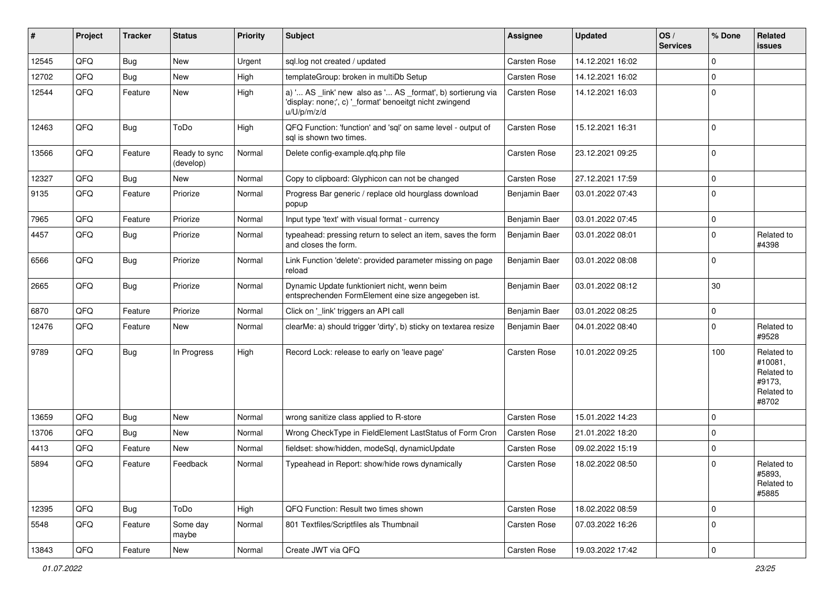| #     | Project | <b>Tracker</b> | <b>Status</b>              | <b>Priority</b> | Subject                                                                                                                               | Assignee      | <b>Updated</b>   | OS/<br><b>Services</b> | % Done      | Related<br><b>issues</b>                                             |
|-------|---------|----------------|----------------------------|-----------------|---------------------------------------------------------------------------------------------------------------------------------------|---------------|------------------|------------------------|-------------|----------------------------------------------------------------------|
| 12545 | QFQ     | <b>Bug</b>     | <b>New</b>                 | Urgent          | sql.log not created / updated                                                                                                         | Carsten Rose  | 14.12.2021 16:02 |                        | $\Omega$    |                                                                      |
| 12702 | QFQ     | Bug            | New                        | High            | templateGroup: broken in multiDb Setup                                                                                                | Carsten Rose  | 14.12.2021 16:02 |                        | $\Omega$    |                                                                      |
| 12544 | QFQ     | Feature        | New                        | High            | a) ' AS _link' new also as ' AS _format', b) sortierung via<br>'display: none;', c) '_format' benoeitgt nicht zwingend<br>u/U/p/m/z/d | Carsten Rose  | 14.12.2021 16:03 |                        | $\Omega$    |                                                                      |
| 12463 | QFQ     | <b>Bug</b>     | ToDo                       | High            | QFQ Function: 'function' and 'sql' on same level - output of<br>sal is shown two times.                                               | Carsten Rose  | 15.12.2021 16:31 |                        | $\Omega$    |                                                                      |
| 13566 | QFQ     | Feature        | Ready to sync<br>(develop) | Normal          | Delete config-example.qfq.php file                                                                                                    | Carsten Rose  | 23.12.2021 09:25 |                        | $\Omega$    |                                                                      |
| 12327 | QFQ     | Bug            | New                        | Normal          | Copy to clipboard: Glyphicon can not be changed                                                                                       | Carsten Rose  | 27.12.2021 17:59 |                        | $\mathbf 0$ |                                                                      |
| 9135  | QFQ     | Feature        | Priorize                   | Normal          | Progress Bar generic / replace old hourglass download<br>popup                                                                        | Benjamin Baer | 03.01.2022 07:43 |                        | $\Omega$    |                                                                      |
| 7965  | QFQ     | Feature        | Priorize                   | Normal          | Input type 'text' with visual format - currency                                                                                       | Benjamin Baer | 03.01.2022 07:45 |                        | 0           |                                                                      |
| 4457  | QFQ     | <b>Bug</b>     | Priorize                   | Normal          | typeahead: pressing return to select an item, saves the form<br>and closes the form.                                                  | Benjamin Baer | 03.01.2022 08:01 |                        | $\Omega$    | Related to<br>#4398                                                  |
| 6566  | QFQ     | Bug            | Priorize                   | Normal          | Link Function 'delete': provided parameter missing on page<br>reload                                                                  | Benjamin Baer | 03.01.2022 08:08 |                        | $\Omega$    |                                                                      |
| 2665  | QFQ     | <b>Bug</b>     | Priorize                   | Normal          | Dynamic Update funktioniert nicht, wenn beim<br>entsprechenden FormElement eine size angegeben ist.                                   | Benjamin Baer | 03.01.2022 08:12 |                        | 30          |                                                                      |
| 6870  | QFQ     | Feature        | Priorize                   | Normal          | Click on '_link' triggers an API call                                                                                                 | Benjamin Baer | 03.01.2022 08:25 |                        | 0           |                                                                      |
| 12476 | QFQ     | Feature        | New                        | Normal          | clearMe: a) should trigger 'dirty', b) sticky on textarea resize                                                                      | Benjamin Baer | 04.01.2022 08:40 |                        | 0           | Related to<br>#9528                                                  |
| 9789  | QFQ     | <b>Bug</b>     | In Progress                | High            | Record Lock: release to early on 'leave page'                                                                                         | Carsten Rose  | 10.01.2022 09:25 |                        | 100         | Related to<br>#10081,<br>Related to<br>#9173.<br>Related to<br>#8702 |
| 13659 | QFQ     | Bug            | <b>New</b>                 | Normal          | wrong sanitize class applied to R-store                                                                                               | Carsten Rose  | 15.01.2022 14:23 |                        | 0           |                                                                      |
| 13706 | QFQ     | Bug            | <b>New</b>                 | Normal          | Wrong CheckType in FieldElement LastStatus of Form Cron                                                                               | Carsten Rose  | 21.01.2022 18:20 |                        | $\Omega$    |                                                                      |
| 4413  | QFQ     | Feature        | New                        | Normal          | fieldset: show/hidden, modeSql, dynamicUpdate                                                                                         | Carsten Rose  | 09.02.2022 15:19 |                        | $\mathbf 0$ |                                                                      |
| 5894  | QFQ     | Feature        | Feedback                   | Normal          | Typeahead in Report: show/hide rows dynamically                                                                                       | Carsten Rose  | 18.02.2022 08:50 |                        | $\Omega$    | Related to<br>#5893,<br>Related to<br>#5885                          |
| 12395 | QFQ     | Bug            | ToDo                       | High            | QFQ Function: Result two times shown                                                                                                  | Carsten Rose  | 18.02.2022 08:59 |                        | $\Omega$    |                                                                      |
| 5548  | QFQ     | Feature        | Some day<br>maybe          | Normal          | 801 Textfiles/Scriptfiles als Thumbnail                                                                                               | Carsten Rose  | 07.03.2022 16:26 |                        | $\mathbf 0$ |                                                                      |
| 13843 | QFQ     | Feature        | New                        | Normal          | Create JWT via QFQ                                                                                                                    | Carsten Rose  | 19.03.2022 17:42 |                        | $\mathbf 0$ |                                                                      |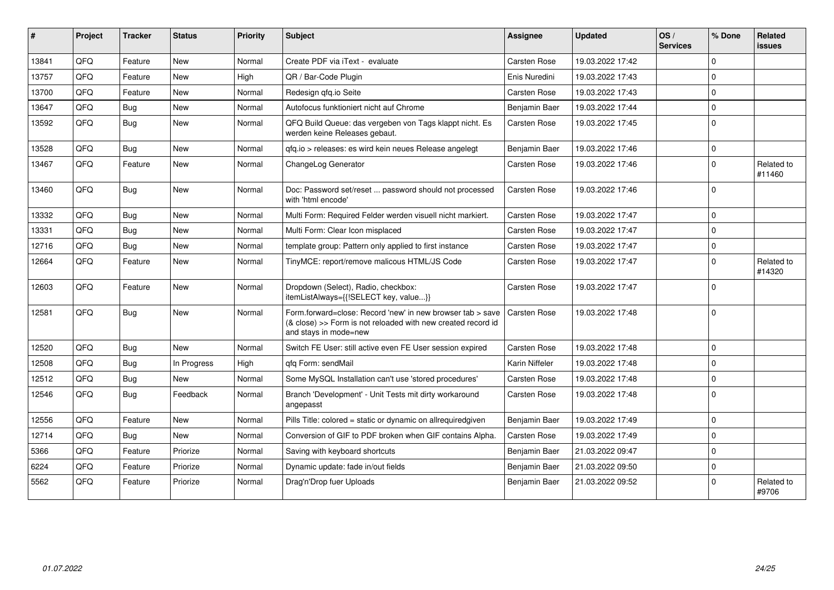| ∦     | Project | <b>Tracker</b> | <b>Status</b> | <b>Priority</b> | Subject                                                                                                                                             | <b>Assignee</b> | <b>Updated</b>   | OS/<br><b>Services</b> | % Done         | Related<br><b>issues</b> |
|-------|---------|----------------|---------------|-----------------|-----------------------------------------------------------------------------------------------------------------------------------------------------|-----------------|------------------|------------------------|----------------|--------------------------|
| 13841 | QFQ     | Feature        | New           | Normal          | Create PDF via iText - evaluate                                                                                                                     | Carsten Rose    | 19.03.2022 17:42 |                        | $\Omega$       |                          |
| 13757 | QFQ     | Feature        | <b>New</b>    | High            | QR / Bar-Code Plugin                                                                                                                                | Enis Nuredini   | 19.03.2022 17:43 |                        | 0 I            |                          |
| 13700 | QFQ     | Feature        | New           | Normal          | Redesign gfg.io Seite                                                                                                                               | Carsten Rose    | 19.03.2022 17:43 |                        | $\Omega$       |                          |
| 13647 | QFQ     | Bug            | <b>New</b>    | Normal          | Autofocus funktioniert nicht auf Chrome                                                                                                             | Benjamin Baer   | 19.03.2022 17:44 |                        | $\Omega$       |                          |
| 13592 | QFQ     | <b>Bug</b>     | New           | Normal          | QFQ Build Queue: das vergeben von Tags klappt nicht. Es<br>werden keine Releases gebaut.                                                            | Carsten Rose    | 19.03.2022 17:45 |                        | $\Omega$       |                          |
| 13528 | QFQ     | Bug            | New           | Normal          | qfq.io > releases: es wird kein neues Release angelegt                                                                                              | Benjamin Baer   | 19.03.2022 17:46 |                        | $\Omega$       |                          |
| 13467 | QFQ     | Feature        | <b>New</b>    | Normal          | ChangeLog Generator                                                                                                                                 | Carsten Rose    | 19.03.2022 17:46 |                        | $\Omega$       | Related to<br>#11460     |
| 13460 | QFQ     | Bug            | <b>New</b>    | Normal          | Doc: Password set/reset  password should not processed<br>with 'html encode'                                                                        | Carsten Rose    | 19.03.2022 17:46 |                        | $\Omega$       |                          |
| 13332 | QFQ     | <b>Bug</b>     | <b>New</b>    | Normal          | Multi Form: Required Felder werden visuell nicht markiert.                                                                                          | Carsten Rose    | 19.03.2022 17:47 |                        | $\Omega$       |                          |
| 13331 | QFQ     | Bug            | New           | Normal          | Multi Form: Clear Icon misplaced                                                                                                                    | Carsten Rose    | 19.03.2022 17:47 |                        | $\Omega$       |                          |
| 12716 | QFQ     | Bug            | <b>New</b>    | Normal          | template group: Pattern only applied to first instance                                                                                              | Carsten Rose    | 19.03.2022 17:47 |                        | $\Omega$       |                          |
| 12664 | QFQ     | Feature        | New           | Normal          | TinyMCE: report/remove malicous HTML/JS Code                                                                                                        | Carsten Rose    | 19.03.2022 17:47 |                        | $\Omega$       | Related to<br>#14320     |
| 12603 | QFQ     | Feature        | New           | Normal          | Dropdown (Select), Radio, checkbox:<br>itemListAlways={{!SELECT key, value}}                                                                        | Carsten Rose    | 19.03.2022 17:47 |                        | $\Omega$       |                          |
| 12581 | QFQ     | Bug            | New           | Normal          | Form.forward=close: Record 'new' in new browser tab > save<br>(& close) >> Form is not reloaded with new created record id<br>and stays in mode=new | Carsten Rose    | 19.03.2022 17:48 |                        | $\overline{0}$ |                          |
| 12520 | QFQ     | Bug            | New           | Normal          | Switch FE User: still active even FE User session expired                                                                                           | Carsten Rose    | 19.03.2022 17:48 |                        | $\Omega$       |                          |
| 12508 | QFQ     | Bug            | In Progress   | High            | gfg Form: sendMail                                                                                                                                  | Karin Niffeler  | 19.03.2022 17:48 |                        | $\Omega$       |                          |
| 12512 | QFQ     | Bug            | <b>New</b>    | Normal          | Some MySQL Installation can't use 'stored procedures'                                                                                               | Carsten Rose    | 19.03.2022 17:48 |                        | $\Omega$       |                          |
| 12546 | QFQ     | Bug            | Feedback      | Normal          | Branch 'Development' - Unit Tests mit dirty workaround<br>angepasst                                                                                 | Carsten Rose    | 19.03.2022 17:48 |                        | $\Omega$       |                          |
| 12556 | QFQ     | Feature        | <b>New</b>    | Normal          | Pills Title: colored = static or dynamic on allrequiredgiven                                                                                        | Benjamin Baer   | 19.03.2022 17:49 |                        | $\Omega$       |                          |
| 12714 | QFQ     | <b>Bug</b>     | <b>New</b>    | Normal          | Conversion of GIF to PDF broken when GIF contains Alpha.                                                                                            | Carsten Rose    | 19.03.2022 17:49 |                        | $\Omega$       |                          |
| 5366  | QFQ     | Feature        | Priorize      | Normal          | Saving with keyboard shortcuts                                                                                                                      | Benjamin Baer   | 21.03.2022 09:47 |                        | $\Omega$       |                          |
| 6224  | QFQ     | Feature        | Priorize      | Normal          | Dynamic update: fade in/out fields                                                                                                                  | Benjamin Baer   | 21.03.2022 09:50 |                        | $\mathbf 0$    |                          |
| 5562  | QFQ     | Feature        | Priorize      | Normal          | Drag'n'Drop fuer Uploads                                                                                                                            | Benjamin Baer   | 21.03.2022 09:52 |                        | $\Omega$       | Related to<br>#9706      |